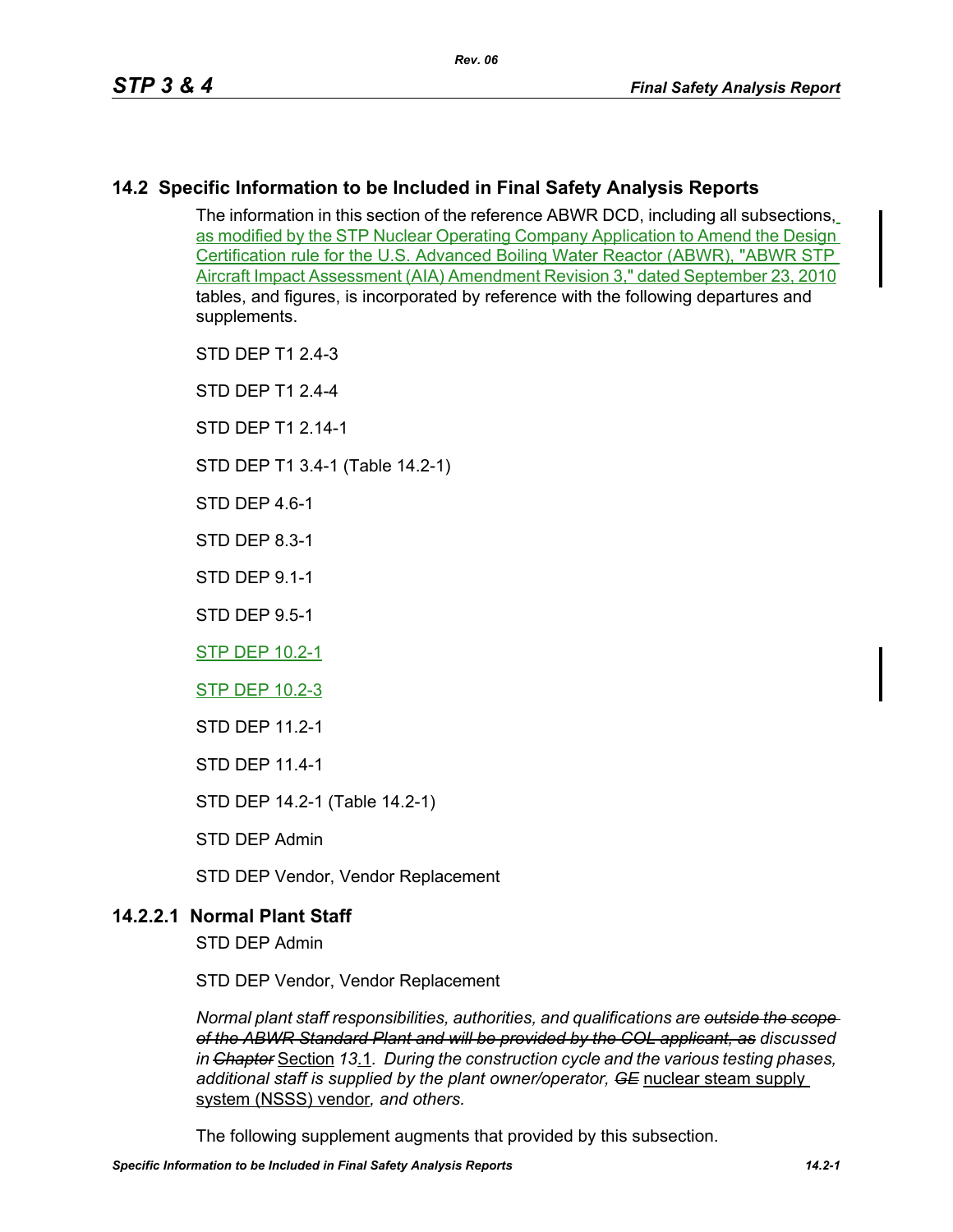# **14.2 Specific Information to be Included in Final Safety Analysis Reports**

The information in this section of the reference ABWR DCD, including all subsections, as modified by the STP Nuclear Operating Company Application to Amend the Design Certification rule for the U.S. Advanced Boiling Water Reactor (ABWR), "ABWR STP Aircraft Impact Assessment (AIA) Amendment Revision 3," dated September 23, 2010 tables, and figures, is incorporated by reference with the following departures and supplements.

- STD DEP T1 2.4-3
- STD DEP T1 2.4-4
- STD DFP T1 2 14-1
- STD DEP T1 3.4-1 (Table 14.2-1)
- STD DFP 46-1
- STD DEP 8.3-1
- STD DEP 9.1-1
- STD DEP 9.5-1
- STP DEP 10.2-1
- STP DEP 10.2-3
- STD DEP 11.2-1
- STD DEP 11.4-1
- STD DEP 14.2-1 (Table 14.2-1)
- STD DEP Admin
- STD DEP Vendor, Vendor Replacement

# **14.2.2.1 Normal Plant Staff**

STD DEP Admin

STD DEP Vendor, Vendor Replacement

*Normal plant staff responsibilities, authorities, and qualifications are outside the scope of the ABWR Standard Plant and will be provided by the COL applicant, as discussed in Chapter* Section *13*.1*. During the construction cycle and the various testing phases, additional staff is supplied by the plant owner/operator, GE* nuclear steam supply system (NSSS) vendor*, and others.* 

The following supplement augments that provided by this subsection.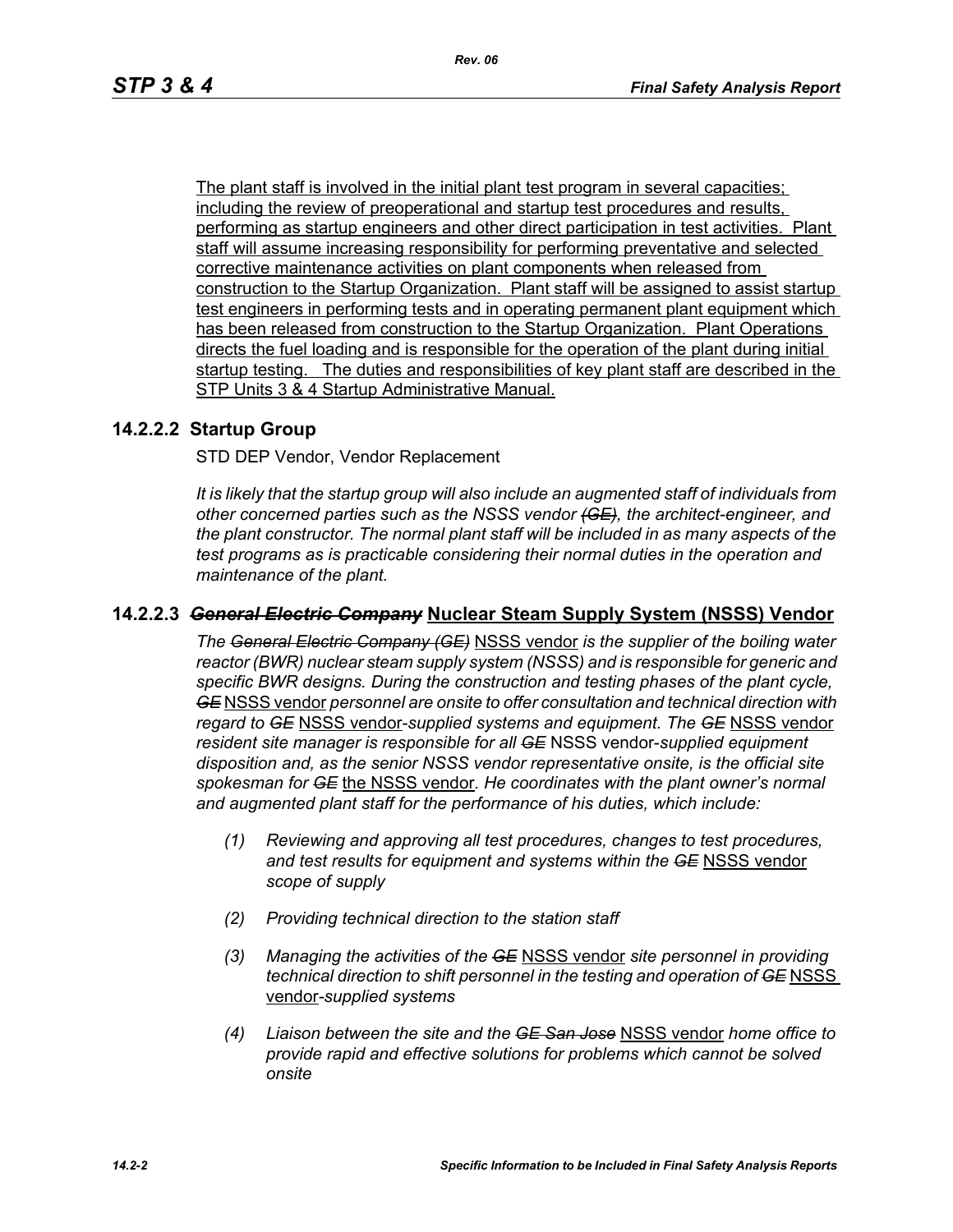The plant staff is involved in the initial plant test program in several capacities; including the review of preoperational and startup test procedures and results, performing as startup engineers and other direct participation in test activities. Plant staff will assume increasing responsibility for performing preventative and selected corrective maintenance activities on plant components when released from construction to the Startup Organization. Plant staff will be assigned to assist startup test engineers in performing tests and in operating permanent plant equipment which has been released from construction to the Startup Organization. Plant Operations directs the fuel loading and is responsible for the operation of the plant during initial startup testing. The duties and responsibilities of key plant staff are described in the STP Units 3 & 4 Startup Administrative Manual.

### **14.2.2.2 Startup Group**

STD DEP Vendor, Vendor Replacement

*It is likely that the startup group will also include an augmented staff of individuals from other concerned parties such as the NSSS vendor (GE), the architect-engineer, and the plant constructor. The normal plant staff will be included in as many aspects of the test programs as is practicable considering their normal duties in the operation and maintenance of the plant.*

### **14.2.2.3** *General Electric Company* **Nuclear Steam Supply System (NSSS) Vendor**

*The General Electric Company (GE)* NSSS vendor *is the supplier of the boiling water reactor (BWR) nuclear steam supply system (NSSS) and is responsible for generic and specific BWR designs. During the construction and testing phases of the plant cycle, GE* NSSS vendor *personnel are onsite to offer consultation and technical direction with regard to GE* NSSS vendor-*supplied systems and equipment. The GE* NSSS vendor *resident site manager is responsible for all GE* NSSS vendor-*supplied equipment disposition and, as the senior NSSS vendor representative onsite, is the official site spokesman for GE* the NSSS vendor*. He coordinates with the plant owner's normal and augmented plant staff for the performance of his duties, which include:*

- *(1) Reviewing and approving all test procedures, changes to test procedures, and test results for equipment and systems within the GE* NSSS vendor *scope of supply*
- *(2) Providing technical direction to the station staff*
- *(3) Managing the activities of the GE* NSSS vendor *site personnel in providing technical direction to shift personnel in the testing and operation of GE NSSS* vendor*-supplied systems*
- *(4) Liaison between the site and the GE San Jose* NSSS vendor *home office to provide rapid and effective solutions for problems which cannot be solved onsite*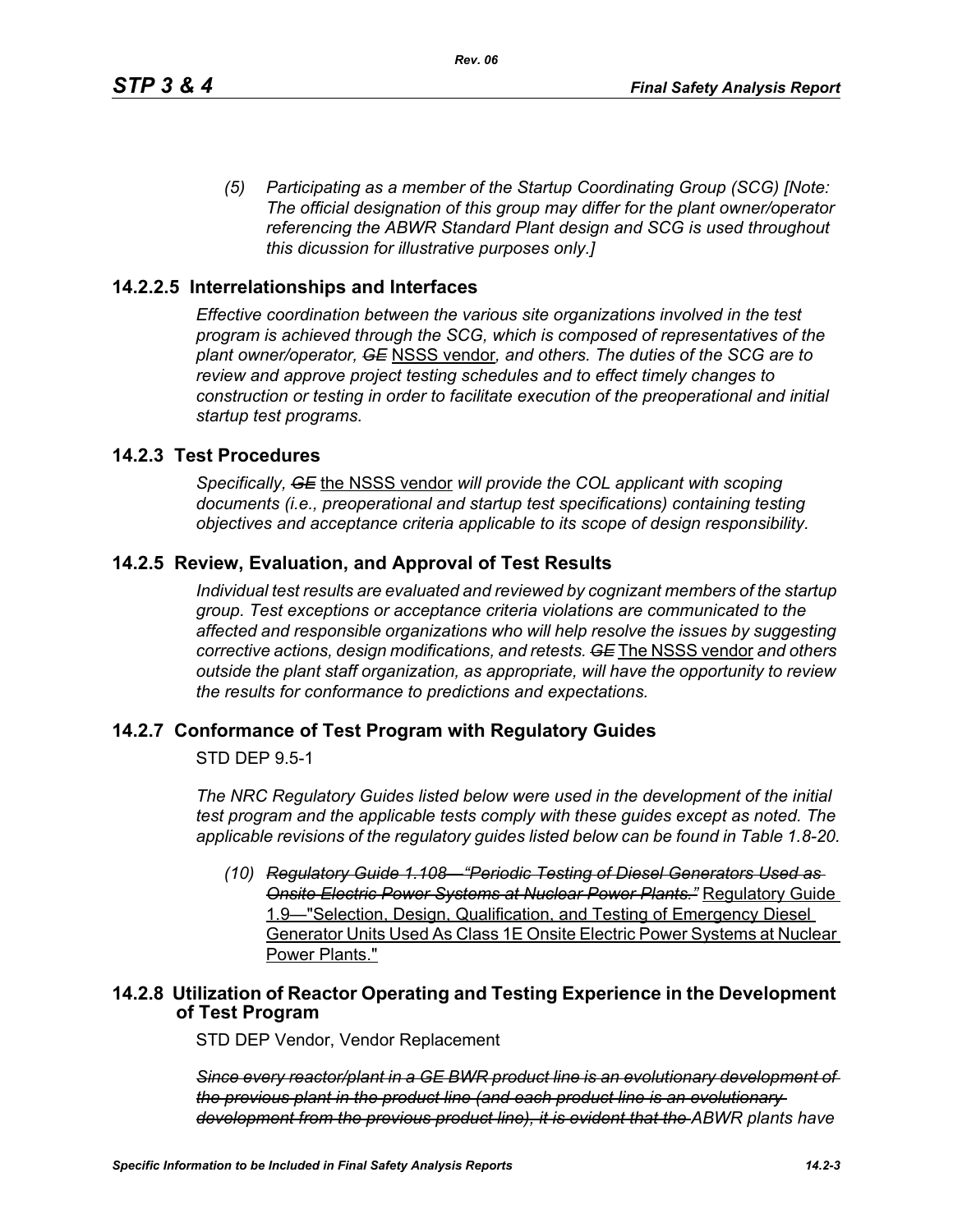*(5) Participating as a member of the Startup Coordinating Group (SCG) [Note: The official designation of this group may differ for the plant owner/operator referencing the ABWR Standard Plant design and SCG is used throughout this dicussion for illustrative purposes only.]*

### **14.2.2.5 Interrelationships and Interfaces**

*Effective coordination between the various site organizations involved in the test program is achieved through the SCG, which is composed of representatives of the plant owner/operator, GE* NSSS vendor*, and others. The duties of the SCG are to review and approve project testing schedules and to effect timely changes to construction or testing in order to facilitate execution of the preoperational and initial startup test programs.*

### **14.2.3 Test Procedures**

*Specifically, GE* the NSSS vendor *will provide the COL applicant with scoping documents (i.e., preoperational and startup test specifications) containing testing objectives and acceptance criteria applicable to its scope of design responsibility.*

### **14.2.5 Review, Evaluation, and Approval of Test Results**

*Individual test results are evaluated and reviewed by cognizant members of the startup group. Test exceptions or acceptance criteria violations are communicated to the affected and responsible organizations who will help resolve the issues by suggesting corrective actions, design modifications, and retests. GE* The NSSS vendor *and others outside the plant staff organization, as appropriate, will have the opportunity to review the results for conformance to predictions and expectations.*

#### **14.2.7 Conformance of Test Program with Regulatory Guides**

STD DEP 9.5-1

*The NRC Regulatory Guides listed below were used in the development of the initial test program and the applicable tests comply with these guides except as noted. The applicable revisions of the regulatory guides listed below can be found in Table 1.8-20.*

*(10) Regulatory Guide 1.108—"Periodic Testing of Diesel Generators Used as Onsite Electric Power Systems at Nuclear Power Plants."* Regulatory Guide 1.9—"Selection, Design, Qualification, and Testing of Emergency Diesel Generator Units Used As Class 1E Onsite Electric Power Systems at Nuclear Power Plants."

### **14.2.8 Utilization of Reactor Operating and Testing Experience in the Development of Test Program**

STD DEP Vendor, Vendor Replacement

*Since every reactor/plant in a GE BWR product line is an evolutionary development of the previous plant in the product line (and each product line is an evolutionary development from the previous product line), it is evident that the ABWR plants have*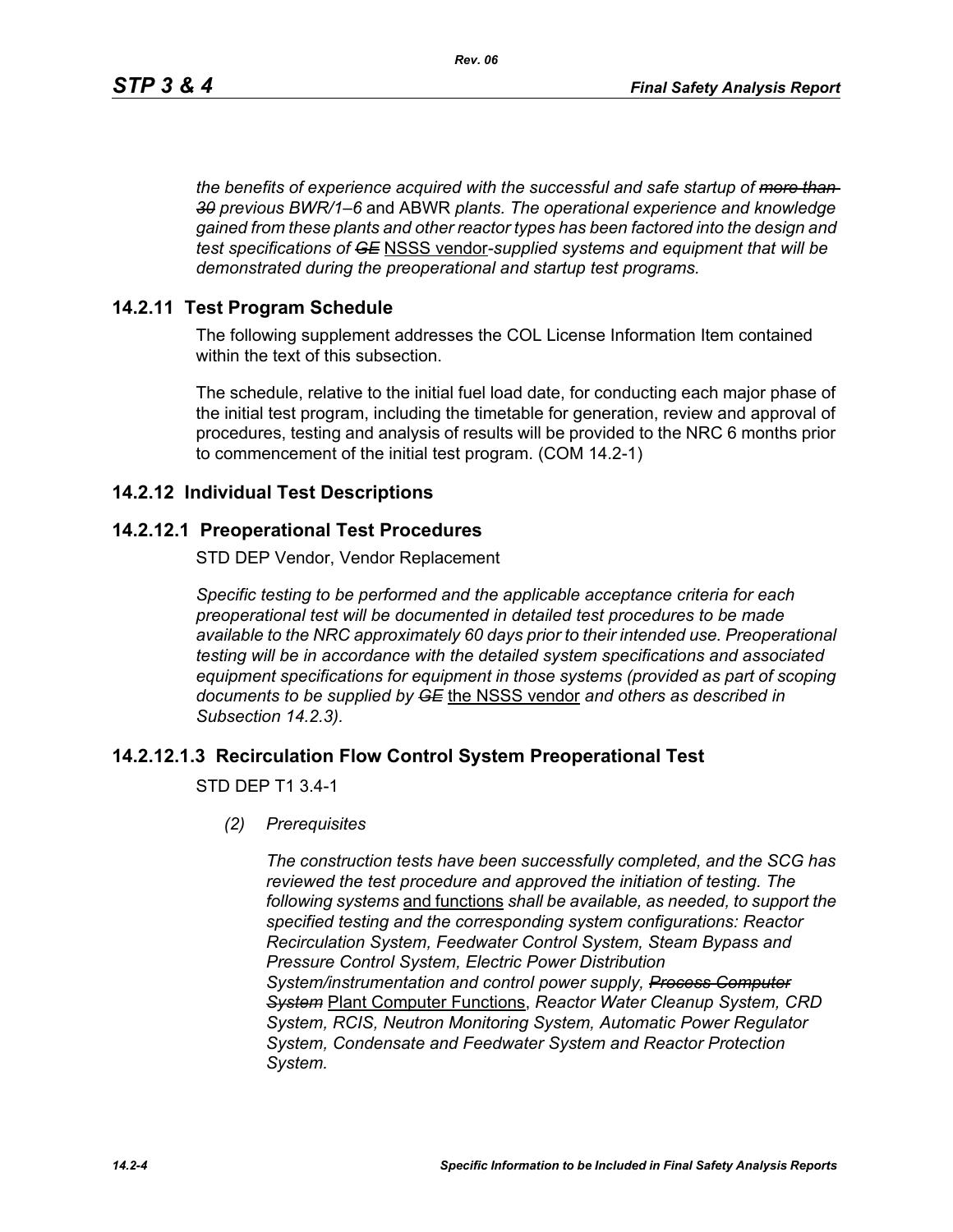*the benefits of experience acquired with the successful and safe startup of more than 30 previous BWR/1–6* and ABWR *plants. The operational experience and knowledge gained from these plants and other reactor types has been factored into the design and test specifications of GE* NSSS vendor*-supplied systems and equipment that will be demonstrated during the preoperational and startup test programs.*

### **14.2.11 Test Program Schedule**

The following supplement addresses the COL License Information Item contained within the text of this subsection.

The schedule, relative to the initial fuel load date, for conducting each major phase of the initial test program, including the timetable for generation, review and approval of procedures, testing and analysis of results will be provided to the NRC 6 months prior to commencement of the initial test program. (COM 14.2-1)

### **14.2.12 Individual Test Descriptions**

### **14.2.12.1 Preoperational Test Procedures**

STD DEP Vendor, Vendor Replacement

*Specific testing to be performed and the applicable acceptance criteria for each preoperational test will be documented in detailed test procedures to be made available to the NRC approximately 60 days prior to their intended use. Preoperational testing will be in accordance with the detailed system specifications and associated equipment specifications for equipment in those systems (provided as part of scoping documents to be supplied by GE* the NSSS vendor *and others as described in Subsection 14.2.3).*

# **14.2.12.1.3 Recirculation Flow Control System Preoperational Test**

STD DEP T1 3.4-1

*(2) Prerequisites*

*The construction tests have been successfully completed, and the SCG has reviewed the test procedure and approved the initiation of testing. The following systems* and functions *shall be available, as needed, to support the specified testing and the corresponding system configurations: Reactor Recirculation System, Feedwater Control System, Steam Bypass and Pressure Control System, Electric Power Distribution System/instrumentation and control power supply, Process Computer System* Plant Computer Functions, *Reactor Water Cleanup System, CRD System, RCIS, Neutron Monitoring System, Automatic Power Regulator System, Condensate and Feedwater System and Reactor Protection System.*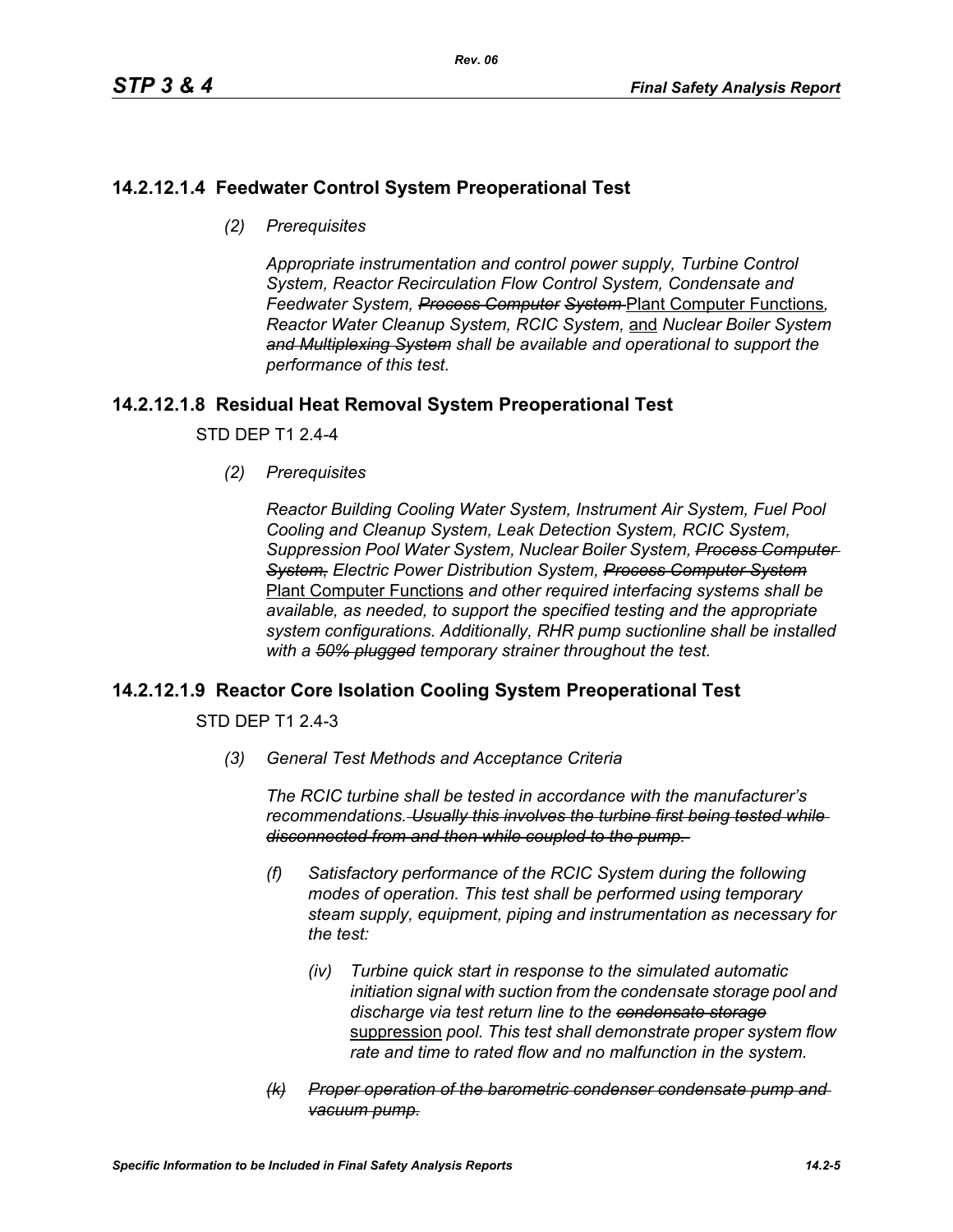# **14.2.12.1.4 Feedwater Control System Preoperational Test**

*(2) Prerequisites*

*Appropriate instrumentation and control power supply, Turbine Control System, Reactor Recirculation Flow Control System, Condensate and Feedwater System, Process Computer System* Plant Computer Functions*, Reactor Water Cleanup System, RCIC System,* and *Nuclear Boiler System and Multiplexing System shall be available and operational to support the performance of this test.*

# **14.2.12.1.8 Residual Heat Removal System Preoperational Test**

STD DEP T1 2.4-4

*(2) Prerequisites*

*Reactor Building Cooling Water System, Instrument Air System, Fuel Pool Cooling and Cleanup System, Leak Detection System, RCIC System, Suppression Pool Water System, Nuclear Boiler System, Process Computer System, Electric Power Distribution System, Process Computer System* Plant Computer Functions *and other required interfacing systems shall be available, as needed, to support the specified testing and the appropriate system configurations. Additionally, RHR pump suctionline shall be installed with a 50% plugged temporary strainer throughout the test.*

# **14.2.12.1.9 Reactor Core Isolation Cooling System Preoperational Test**

STD DEP T1 2.4-3

*(3) General Test Methods and Acceptance Criteria*

*The RCIC turbine shall be tested in accordance with the manufacturer's recommendations. Usually this involves the turbine first being tested while disconnected from and then while coupled to the pump.* 

- *(f) Satisfactory performance of the RCIC System during the following modes of operation. This test shall be performed using temporary steam supply, equipment, piping and instrumentation as necessary for the test:*
	- *(iv) Turbine quick start in response to the simulated automatic initiation signal with suction from the condensate storage pool and discharge via test return line to the condensate storage* suppression *pool. This test shall demonstrate proper system flow rate and time to rated flow and no malfunction in the system.*
- *(k) Proper operation of the barometric condenser condensate pump and vacuum pump.*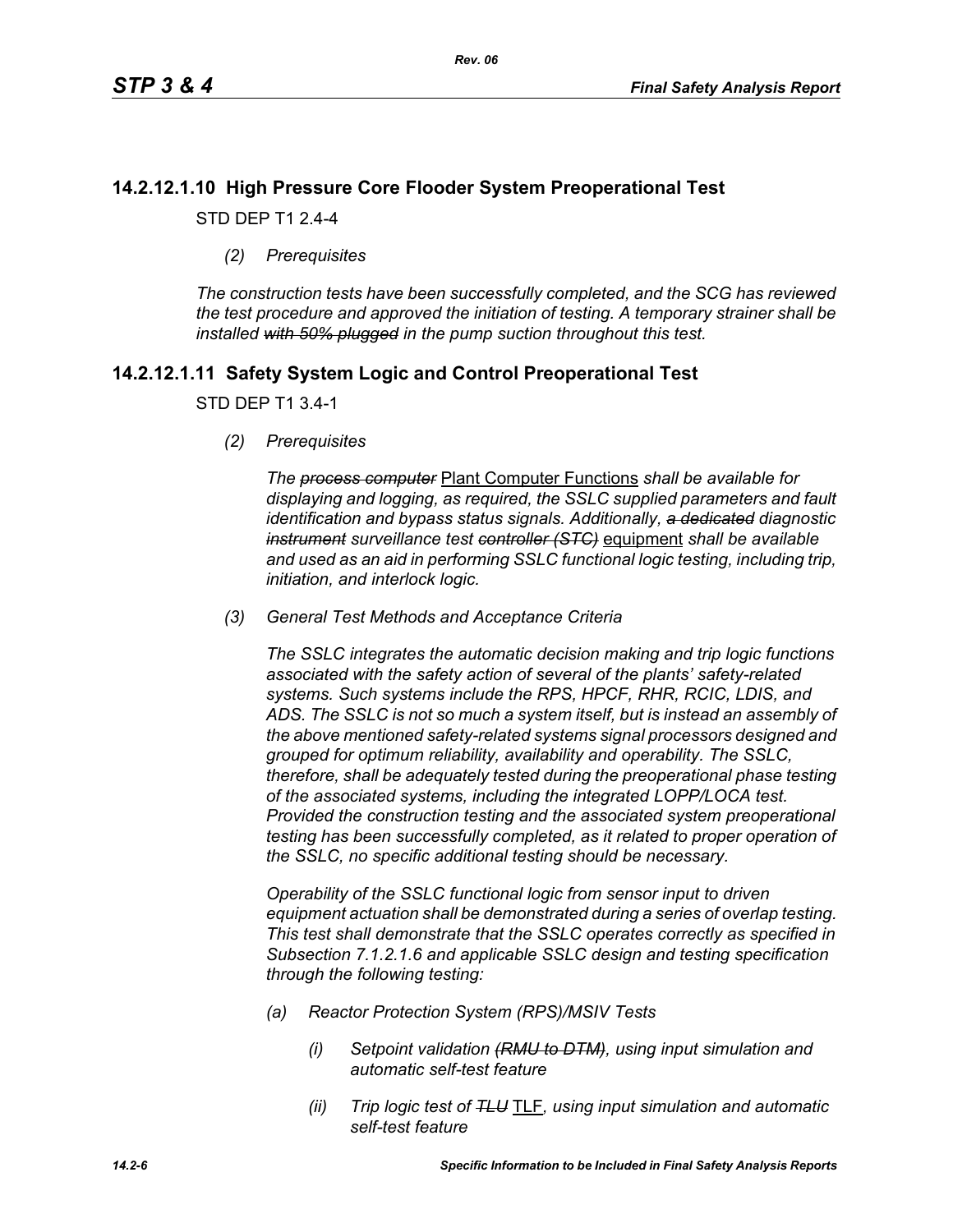# **14.2.12.1.10 High Pressure Core Flooder System Preoperational Test**

STD DEP T1 2.4-4

*(2) Prerequisites*

*The construction tests have been successfully completed, and the SCG has reviewed the test procedure and approved the initiation of testing. A temporary strainer shall be installed with 50% plugged in the pump suction throughout this test.*

# **14.2.12.1.11 Safety System Logic and Control Preoperational Test**

#### STD DEP T1 3.4-1

*(2) Prerequisites*

*The process computer* Plant Computer Functions *shall be available for displaying and logging, as required, the SSLC supplied parameters and fault identification and bypass status signals. Additionally, a dedicated diagnostic instrument surveillance test controller (STC)* equipment *shall be available and used as an aid in performing SSLC functional logic testing, including trip, initiation, and interlock logic.*

*(3) General Test Methods and Acceptance Criteria*

*The SSLC integrates the automatic decision making and trip logic functions associated with the safety action of several of the plants' safety-related systems. Such systems include the RPS, HPCF, RHR, RCIC, LDIS, and ADS. The SSLC is not so much a system itself, but is instead an assembly of the above mentioned safety-related systems signal processors designed and grouped for optimum reliability, availability and operability. The SSLC, therefore, shall be adequately tested during the preoperational phase testing of the associated systems, including the integrated LOPP/LOCA test. Provided the construction testing and the associated system preoperational testing has been successfully completed, as it related to proper operation of the SSLC, no specific additional testing should be necessary.*

*Operability of the SSLC functional logic from sensor input to driven equipment actuation shall be demonstrated during a series of overlap testing. This test shall demonstrate that the SSLC operates correctly as specified in Subsection 7.1.2.1.6 and applicable SSLC design and testing specification through the following testing:*

- *(a) Reactor Protection System (RPS)/MSIV Tests*
	- *(i) Setpoint validation (RMU to DTM), using input simulation and automatic self-test feature*
	- *(ii) Trip logic test of TLU* TLF*, using input simulation and automatic self-test feature*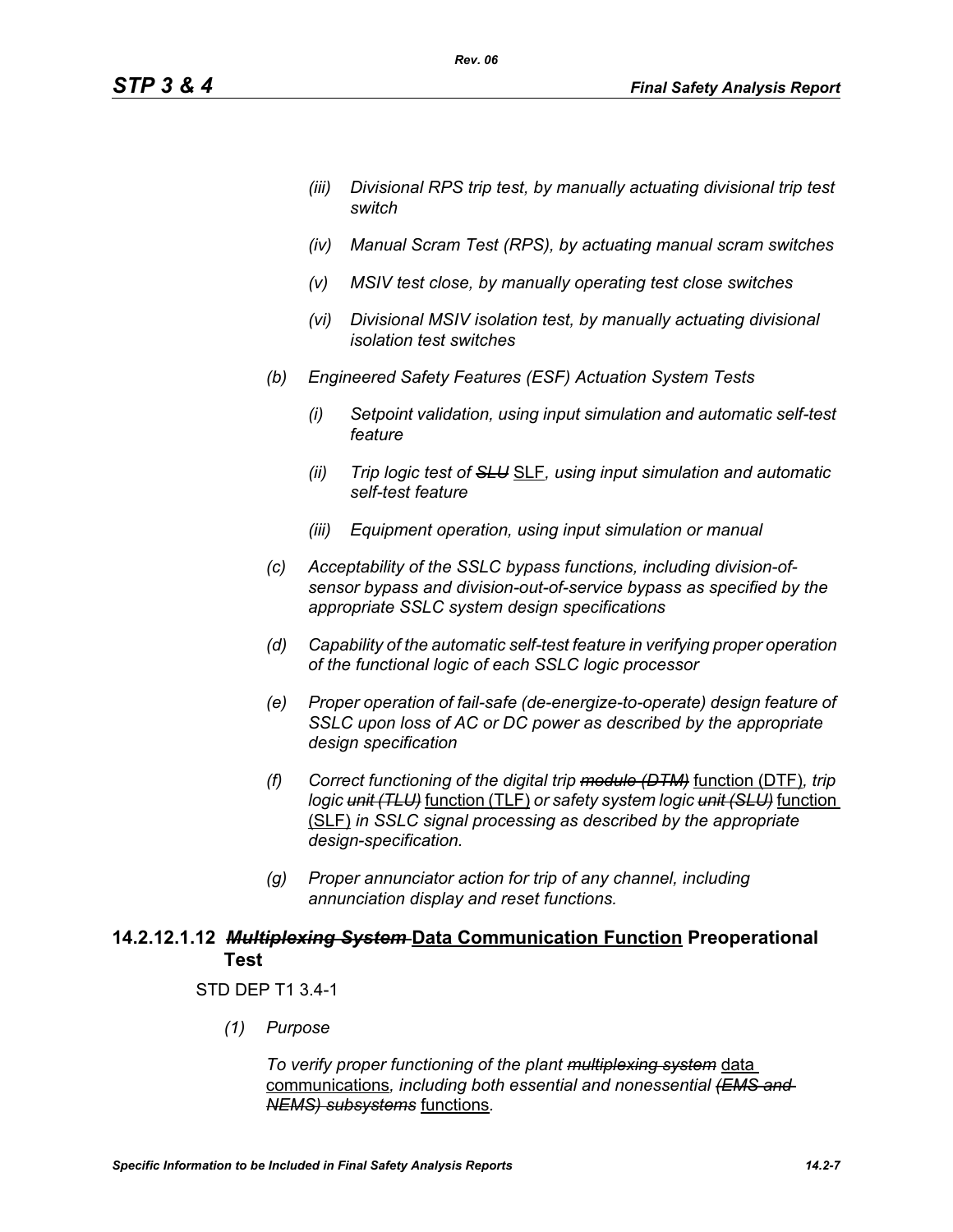- *(iii) Divisional RPS trip test, by manually actuating divisional trip test switch*
- *(iv) Manual Scram Test (RPS), by actuating manual scram switches*
- *(v) MSIV test close, by manually operating test close switches*
- *(vi) Divisional MSIV isolation test, by manually actuating divisional isolation test switches*
- *(b) Engineered Safety Features (ESF) Actuation System Tests*

*Rev. 06*

- *(i) Setpoint validation, using input simulation and automatic self-test feature*
- *(ii) Trip logic test of SLU* SLF*, using input simulation and automatic self-test feature*
- *(iii) Equipment operation, using input simulation or manual*
- *(c) Acceptability of the SSLC bypass functions, including division-ofsensor bypass and division-out-of-service bypass as specified by the appropriate SSLC system design specifications*
- *(d) Capability of the automatic self-test feature in verifying proper operation of the functional logic of each SSLC logic processor*
- *(e) Proper operation of fail-safe (de-energize-to-operate) design feature of SSLC upon loss of AC or DC power as described by the appropriate design specification*
- *(f) Correct functioning of the digital trip module (DTM)* function (DTF)*, trip logic unit (TLU)* function (TLF) *or safety system logic unit (SLU)* function (SLF) *in SSLC signal processing as described by the appropriate design-specification.*
- *(g) Proper annunciator action for trip of any channel, including annunciation display and reset functions.*

# **14.2.12.1.12** *Multiplexing System* **Data Communication Function Preoperational Test**

#### STD DEP T1 3.4-1

*(1) Purpose*

*To verify proper functioning of the plant multiplexing system* data communications*, including both essential and nonessential (EMS and NEMS) subsystems* functions*.*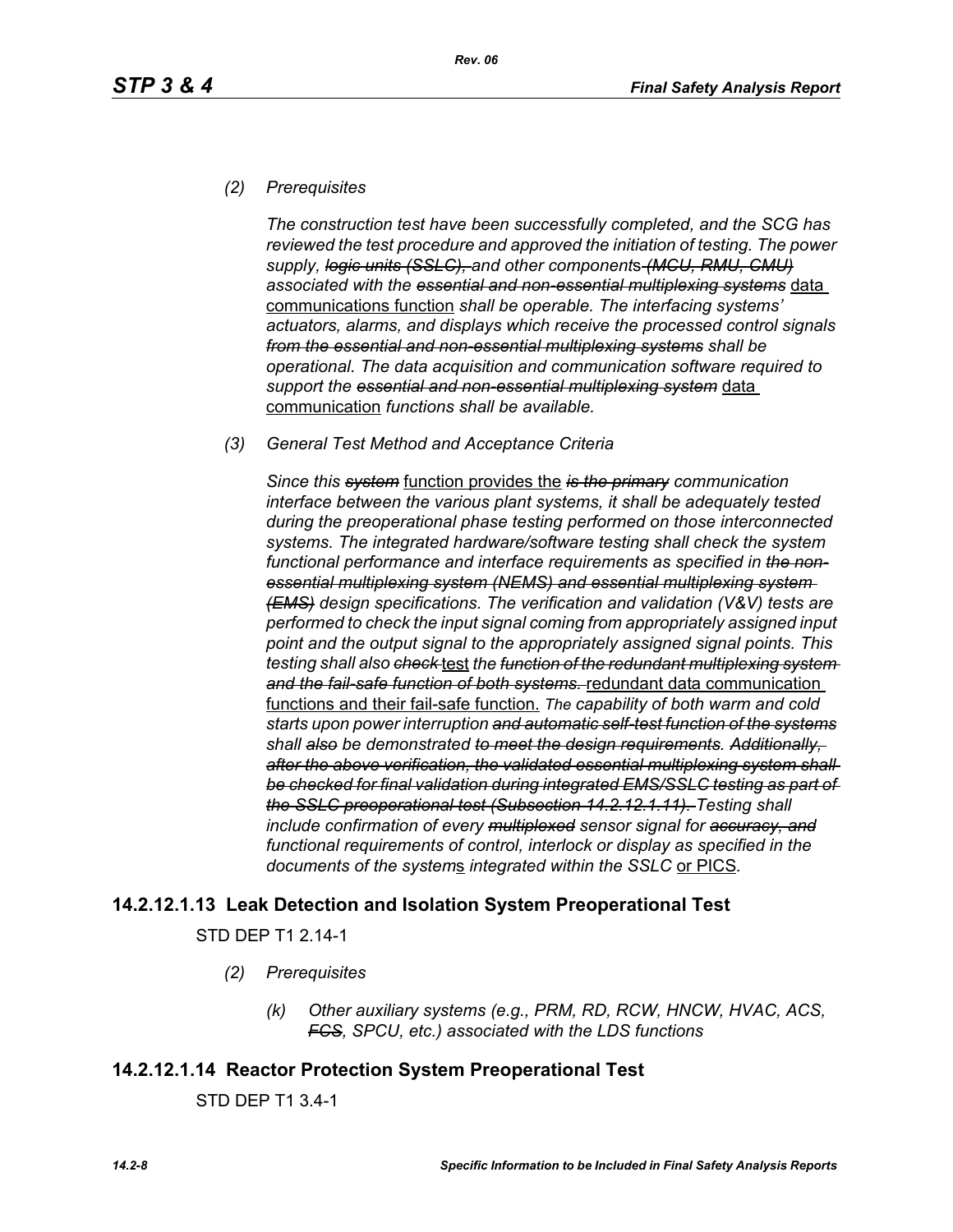### *(2) Prerequisites*

*The construction test have been successfully completed, and the SCG has reviewed the test procedure and approved the initiation of testing. The power supply, logic units (SSLC), and other component*s *(MCU, RMU, CMU) associated with the essential and non-essential multiplexing systems* data communications function *shall be operable. The interfacing systems' actuators, alarms, and displays which receive the processed control signals from the essential and non-essential multiplexing systems shall be operational. The data acquisition and communication software required to support the essential and non-essential multiplexing system* data communication *functions shall be available.*

#### *(3) General Test Method and Acceptance Criteria*

*Since this system* function provides the *is the primary communication interface between the various plant systems, it shall be adequately tested during the preoperational phase testing performed on those interconnected systems. The integrated hardware/software testing shall check the system functional performance and interface requirements as specified in the nonessential multiplexing system (NEMS) and essential multiplexing system (EMS) design specifications. The verification and validation (V&V) tests are performed to check the input signal coming from appropriately assigned input point and the output signal to the appropriately assigned signal points. This testing shall also check* test *the function of the redundant multiplexing system and the fail-safe function of both systems.* redundant data communication functions and their fail-safe function. *The capability of both warm and cold starts upon power interruption and automatic self-test function of the systems shall also be demonstrated to meet the design requirements. Additionally, after the above verification, the validated essential multiplexing system shall be checked for final validation during integrated EMS/SSLC testing as part of the SSLC preoperational test (Subsection 14.2.12.1.11). Testing shall include confirmation of every multiplexed sensor signal for accuracy, and functional requirements of control, interlock or display as specified in the documents of the system*s *integrated within the SSLC* or PICS*.*

# **14.2.12.1.13 Leak Detection and Isolation System Preoperational Test**

STD DEP T1 2.14-1

- *(2) Prerequisites*
	- *(k) Other auxiliary systems (e.g., PRM, RD, RCW, HNCW, HVAC, ACS, FCS, SPCU, etc.) associated with the LDS functions*

# **14.2.12.1.14 Reactor Protection System Preoperational Test**

STD DEP T1 3.4-1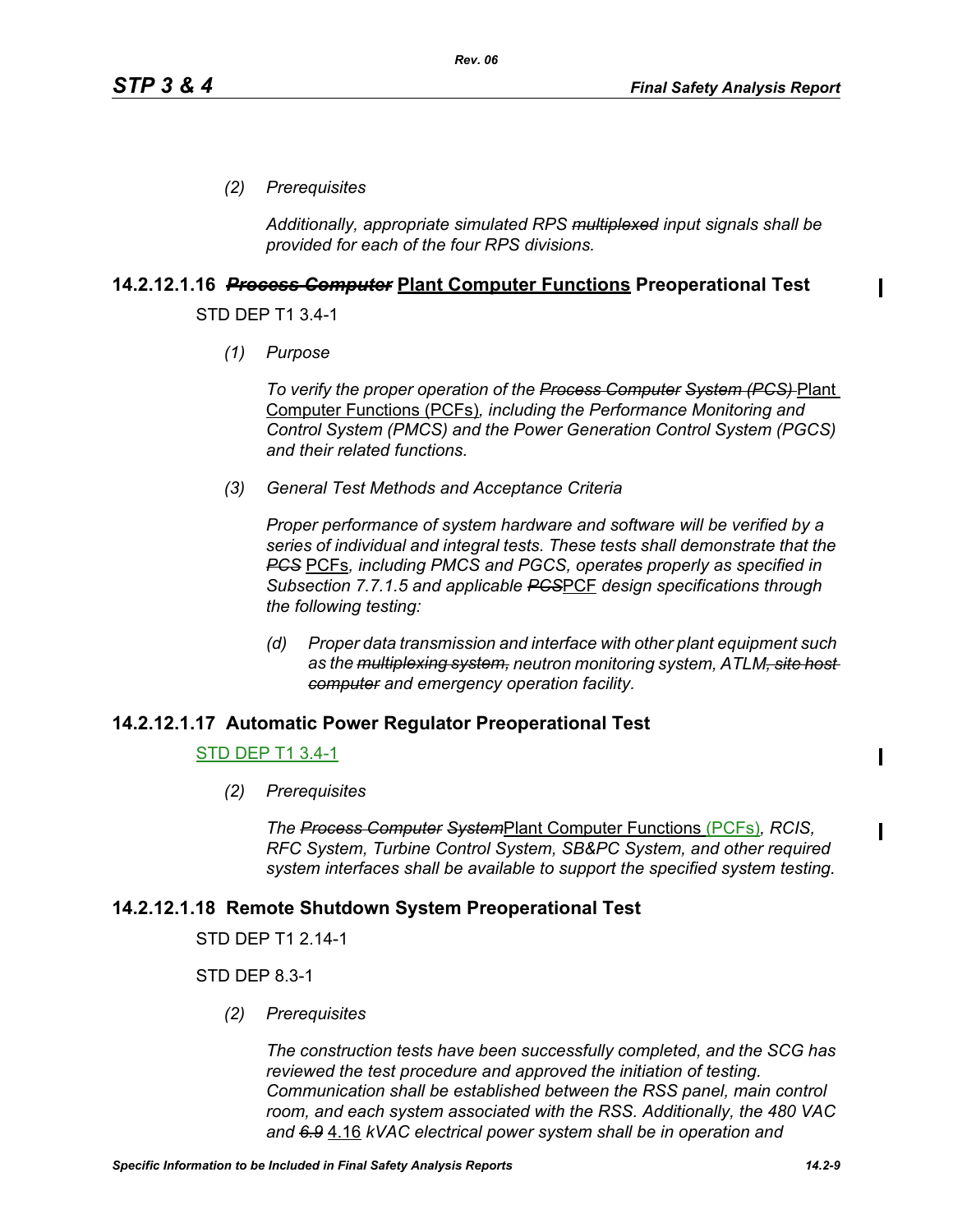*(2) Prerequisites*

*Additionally, appropriate simulated RPS multiplexed input signals shall be provided for each of the four RPS divisions.*

### **14.2.12.1.16** *Process Computer* **Plant Computer Functions Preoperational Test**

STD DEP T1 3.4-1

*(1) Purpose*

*To verify the proper operation of the Process Computer System (PCS)* Plant Computer Functions (PCFs)*, including the Performance Monitoring and Control System (PMCS) and the Power Generation Control System (PGCS) and their related functions.*

*(3) General Test Methods and Acceptance Criteria*

*Proper performance of system hardware and software will be verified by a series of individual and integral tests. These tests shall demonstrate that the PCS* PCFs*, including PMCS and PGCS, operates properly as specified in Subsection 7.7.1.5 and applicable PCS*PCF *design specifications through the following testing:*

*(d) Proper data transmission and interface with other plant equipment such as the multiplexing system, neutron monitoring system, ATLM, site host computer and emergency operation facility.*

#### **14.2.12.1.17 Automatic Power Regulator Preoperational Test**

#### STD DEP T1 3.4-1

*(2) Prerequisites*

*The Process Computer System*Plant Computer Functions (PCFs)*, RCIS, RFC System, Turbine Control System, SB&PC System, and other required system interfaces shall be available to support the specified system testing.*

# **14.2.12.1.18 Remote Shutdown System Preoperational Test**

STD DEP T1 2.14-1

STD DEP 8.3-1

*(2) Prerequisites*

*The construction tests have been successfully completed, and the SCG has reviewed the test procedure and approved the initiation of testing. Communication shall be established between the RSS panel, main control room, and each system associated with the RSS. Additionally, the 480 VAC and 6.9* 4.16 *kVAC electrical power system shall be in operation and*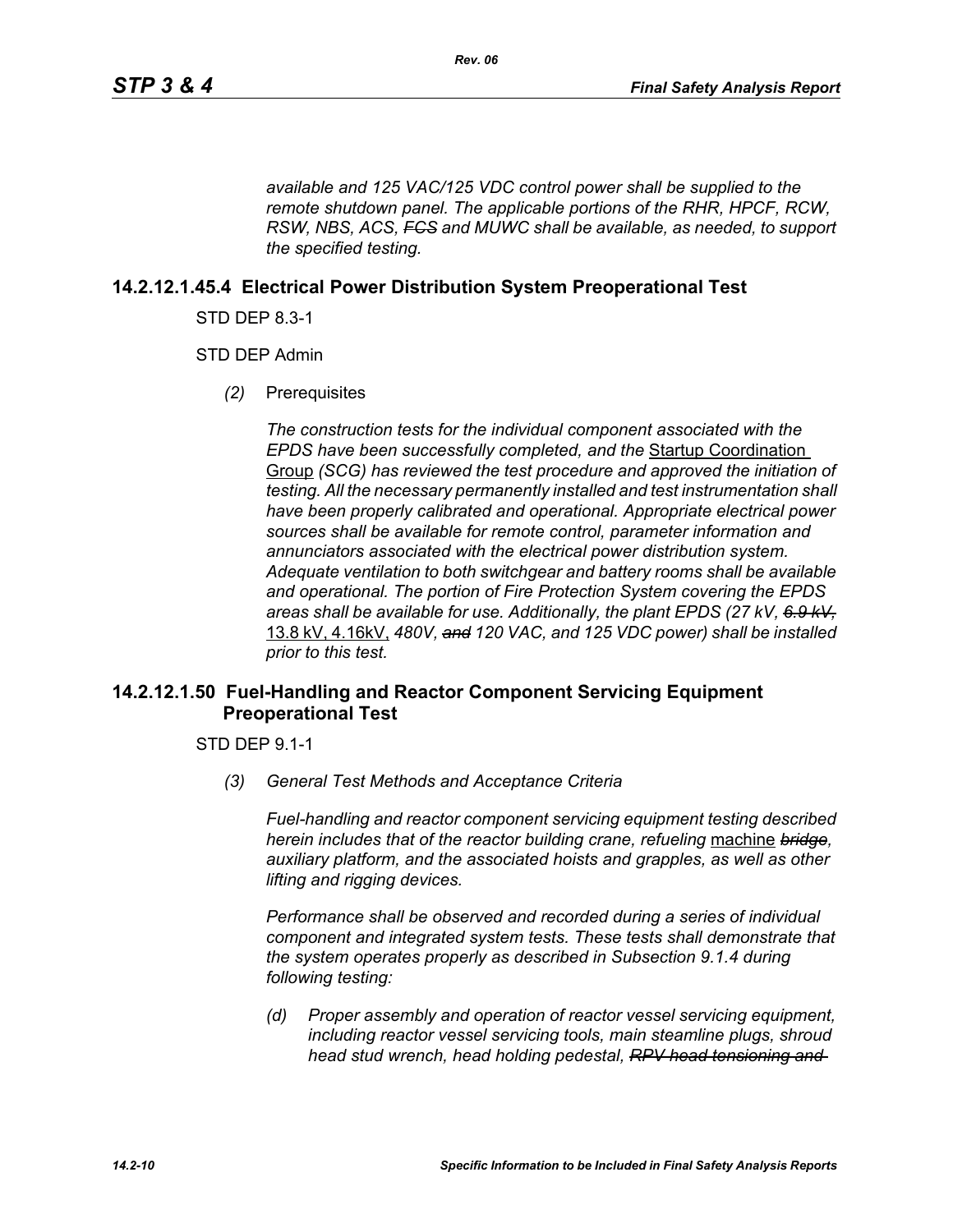*available and 125 VAC/125 VDC control power shall be supplied to the remote shutdown panel. The applicable portions of the RHR, HPCF, RCW, RSW, NBS, ACS, FCS and MUWC shall be available, as needed, to support the specified testing.*

### **14.2.12.1.45.4 Electrical Power Distribution System Preoperational Test**

STD DEP 8.3-1

STD DEP Admin

*(2)* Prerequisites

*The construction tests for the individual component associated with the EPDS have been successfully completed, and the* Startup Coordination Group *(SCG) has reviewed the test procedure and approved the initiation of testing. All the necessary permanently installed and test instrumentation shall have been properly calibrated and operational. Appropriate electrical power sources shall be available for remote control, parameter information and annunciators associated with the electrical power distribution system. Adequate ventilation to both switchgear and battery rooms shall be available and operational. The portion of Fire Protection System covering the EPDS areas shall be available for use. Additionally, the plant EPDS (27 kV, 6.9 kV,* 13.8 kV, 4.16kV, *480V, and 120 VAC, and 125 VDC power) shall be installed prior to this test.*

### **14.2.12.1.50 Fuel-Handling and Reactor Component Servicing Equipment Preoperational Test**

STD DEP 9.1-1

*(3) General Test Methods and Acceptance Criteria*

*Fuel-handling and reactor component servicing equipment testing described herein includes that of the reactor building crane, refueling* machine *bridge, auxiliary platform, and the associated hoists and grapples, as well as other lifting and rigging devices.* 

*Performance shall be observed and recorded during a series of individual component and integrated system tests. These tests shall demonstrate that the system operates properly as described in Subsection 9.1.4 during following testing:*

*(d) Proper assembly and operation of reactor vessel servicing equipment, including reactor vessel servicing tools, main steamline plugs, shroud head stud wrench, head holding pedestal, RPV head tensioning and*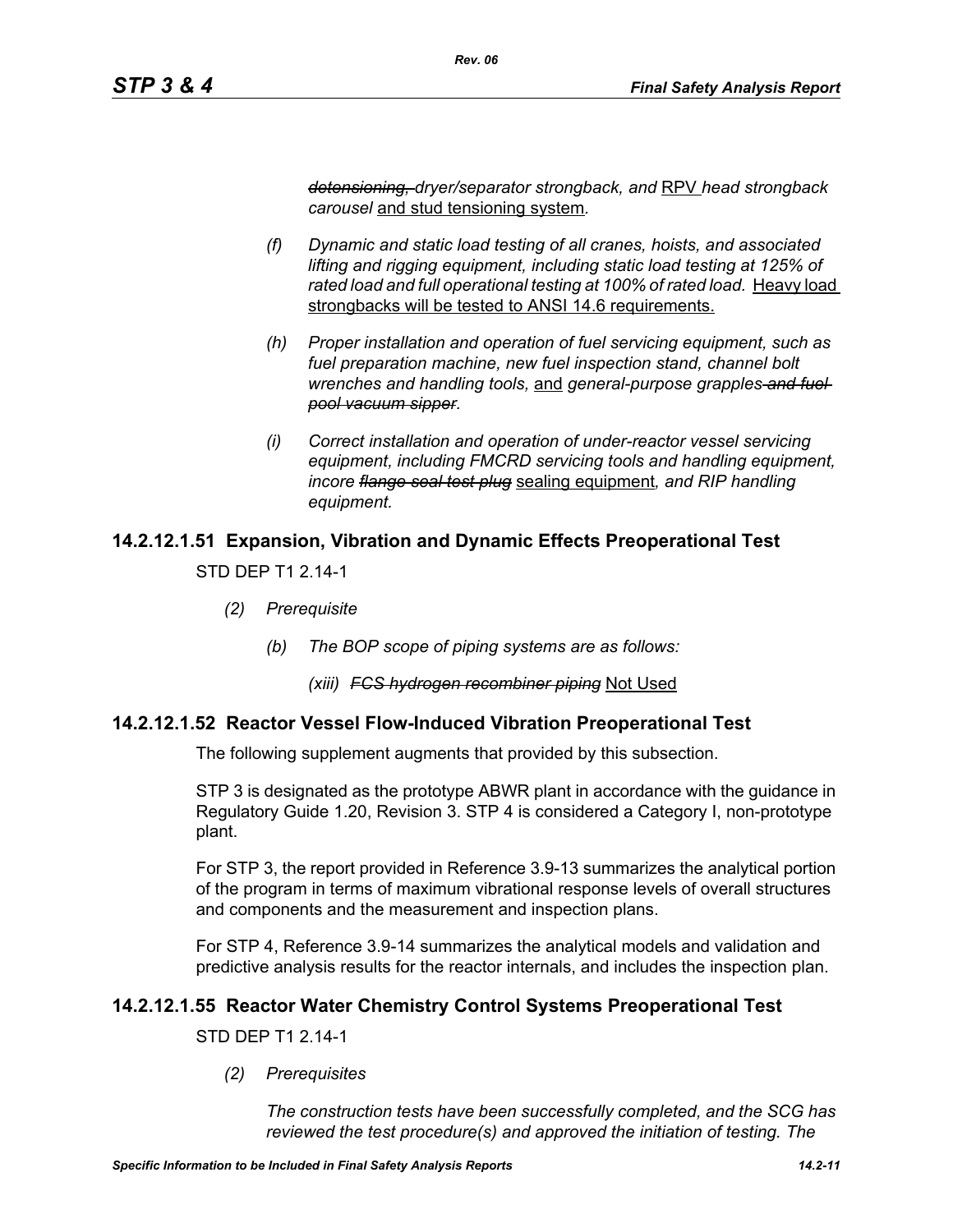*detensioning, dryer/separator strongback, and* RPV *head strongback carousel* and stud tensioning system*.*

*Rev. 06*

- *(f) Dynamic and static load testing of all cranes, hoists, and associated lifting and rigging equipment, including static load testing at 125% of*  rated load and full operational testing at 100% of rated load. Heavy load strongbacks will be tested to ANSI 14.6 requirements.
- *(h) Proper installation and operation of fuel servicing equipment, such as fuel preparation machine, new fuel inspection stand, channel bolt wrenches and handling tools,* and *general-purpose grapples and fuel pool vacuum sipper.*
- *(i) Correct installation and operation of under-reactor vessel servicing equipment, including FMCRD servicing tools and handling equipment, incore flange seal test plug* sealing equipment*, and RIP handling equipment.*

# **14.2.12.1.51 Expansion, Vibration and Dynamic Effects Preoperational Test**

STD DEP T1 2.14-1

- *(2) Prerequisite*
	- *(b) The BOP scope of piping systems are as follows:*

#### *(xiii) FCS hydrogen recombiner piping* Not Used

# **14.2.12.1.52 Reactor Vessel Flow-Induced Vibration Preoperational Test**

The following supplement augments that provided by this subsection.

STP 3 is designated as the prototype ABWR plant in accordance with the guidance in Regulatory Guide 1.20, Revision 3. STP 4 is considered a Category I, non-prototype plant.

For STP 3, the report provided in Reference 3.9-13 summarizes the analytical portion of the program in terms of maximum vibrational response levels of overall structures and components and the measurement and inspection plans.

For STP 4, Reference 3.9-14 summarizes the analytical models and validation and predictive analysis results for the reactor internals, and includes the inspection plan.

# **14.2.12.1.55 Reactor Water Chemistry Control Systems Preoperational Test**

STD DEP T1 2.14-1

*(2) Prerequisites*

*The construction tests have been successfully completed, and the SCG has reviewed the test procedure(s) and approved the initiation of testing. The*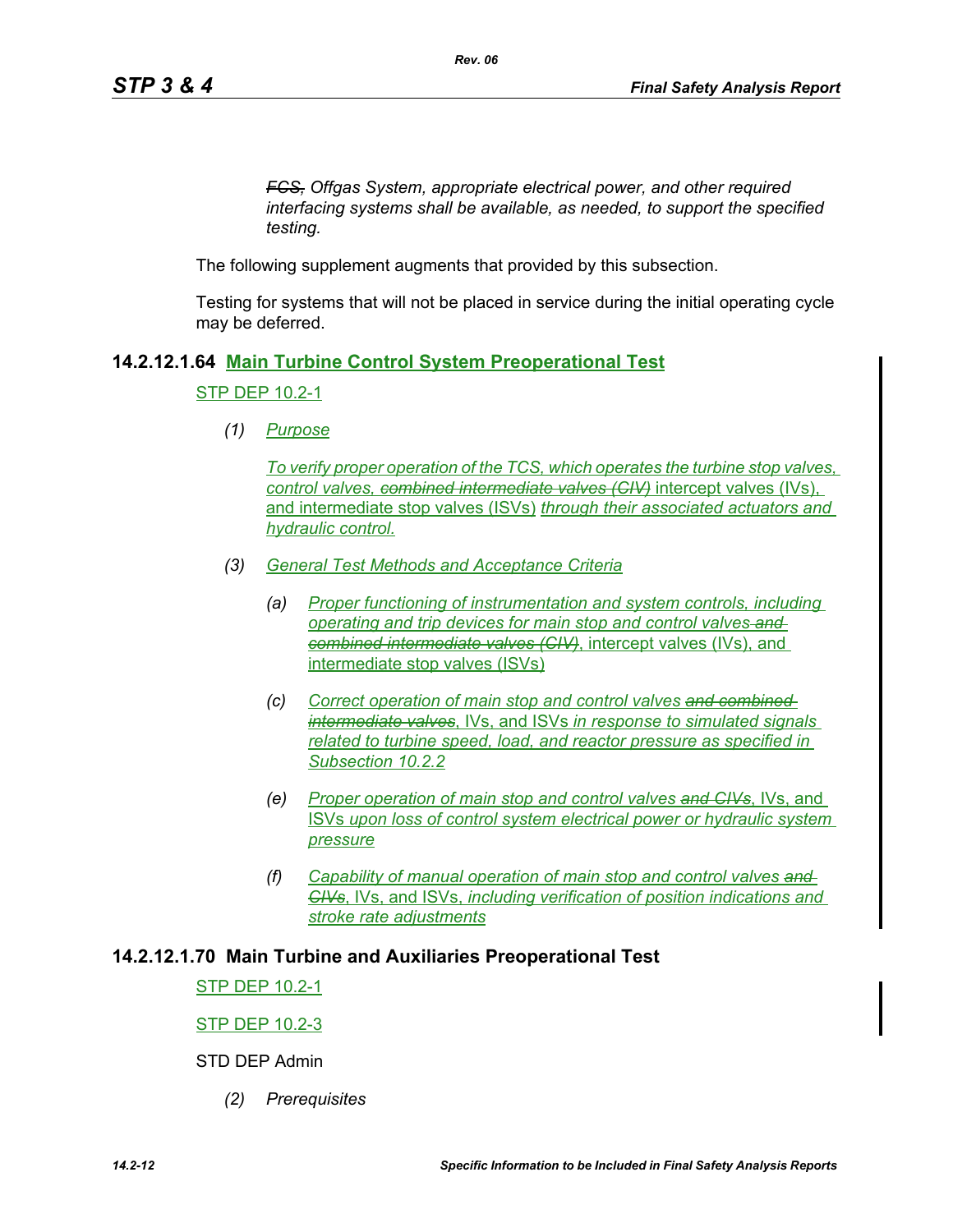*FCS, Offgas System, appropriate electrical power, and other required interfacing systems shall be available, as needed, to support the specified testing.*

The following supplement augments that provided by this subsection.

Testing for systems that will not be placed in service during the initial operating cycle may be deferred.

### **14.2.12.1.64 Main Turbine Control System Preoperational Test**

#### STP DEP 10.2-1

*(1) Purpose*

*To verify proper operation of the TCS, which operates the turbine stop valves, control valves, combined intermediate valves (CIV)* intercept valves (IVs), and intermediate stop valves (ISVs) *through their associated actuators and hydraulic control.*

- *(3) General Test Methods and Acceptance Criteria*
	- *(a) Proper functioning of instrumentation and system controls, including operating and trip devices for main stop and control valves and combined intermediate valves (CIV)*, intercept valves (IVs), and intermediate stop valves (ISVs)
	- *(c) Correct operation of main stop and control valves and combined intermediate valves*, IVs, and ISVs *in response to simulated signals related to turbine speed, load, and reactor pressure as specified in Subsection 10.2.2*
	- *(e) Proper operation of main stop and control valves and CIVs*, IVs, and ISVs *upon loss of control system electrical power or hydraulic system pressure*
	- *(f) Capability of manual operation of main stop and control valves and CIVs*, IVs, and ISVs, *including verification of position indications and stroke rate adjustments*

#### **14.2.12.1.70 Main Turbine and Auxiliaries Preoperational Test**

STP DEP 10.2-1

#### STP DEP 10.2-3

STD DEP Admin

*(2) Prerequisites*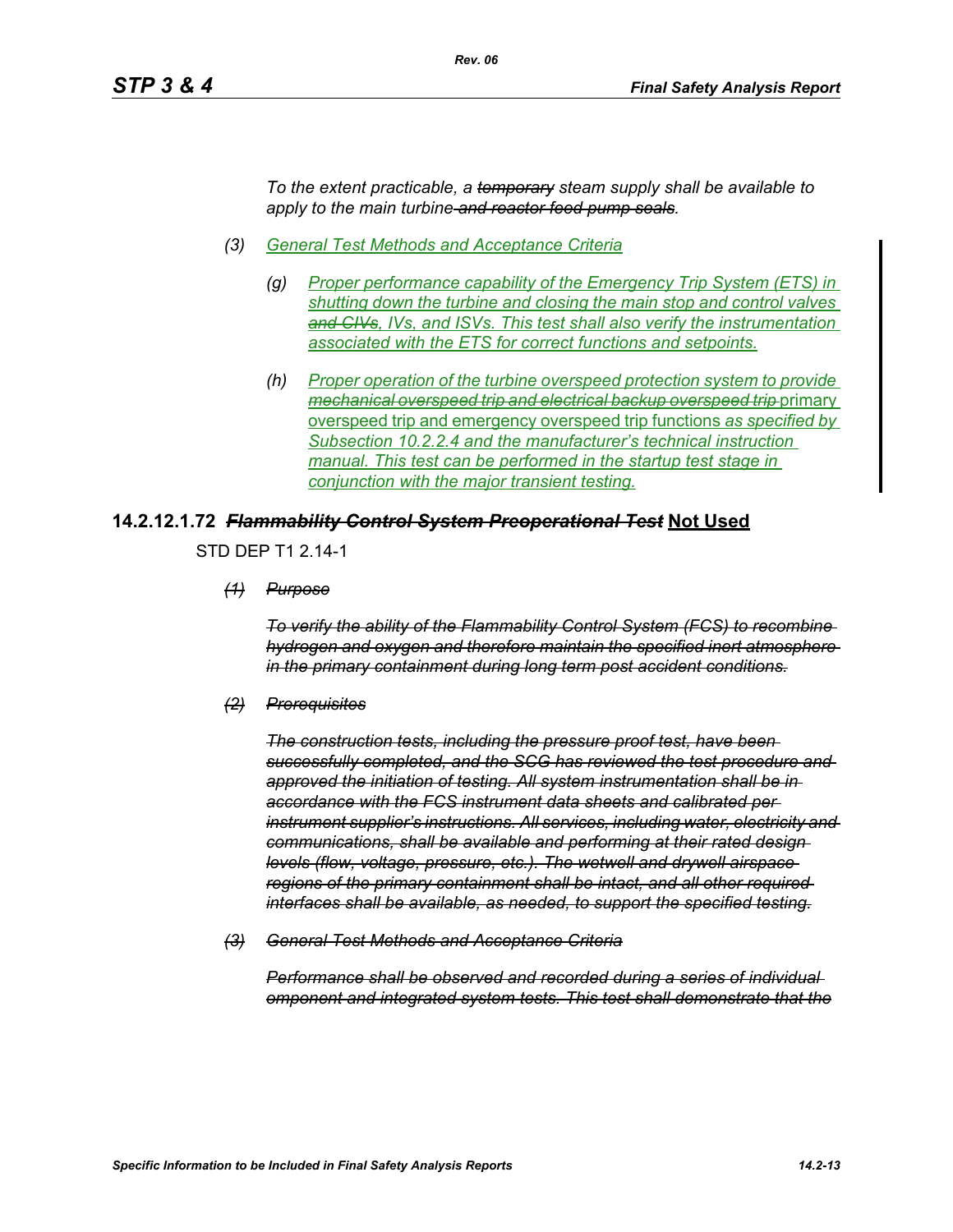*To the extent practicable, a temporary steam supply shall be available to apply to the main turbine and reactor feed pump seals.*

*(3) General Test Methods and Acceptance Criteria*

*Rev. 06*

- *(g) Proper performance capability of the Emergency Trip System (ETS) in shutting down the turbine and closing the main stop and control valves and CIVs, IVs, and ISVs. This test shall also verify the instrumentation associated with the ETS for correct functions and setpoints.*
- *(h) Proper operation of the turbine overspeed protection system to provide mechanical overspeed trip and electrical backup overspeed trip* primary overspeed trip and emergency overspeed trip functions *as specified by Subsection 10.2.2.4 and the manufacturer's technical instruction manual. This test can be performed in the startup test stage in conjunction with the major transient testing.*

#### **14.2.12.1.72** *Flammability Control System Preoperational Test* **Not Used**

STD DEP T1 2.14-1

*(1) Purpose*

*To verify the ability of the Flammability Control System (FCS) to recombine hydrogen and oxygen and therefore maintain the specified inert atmosphere in the primary containment during long term post accident conditions.*

*(2) Prerequisites*

*The construction tests, including the pressure proof test, have been successfully completed, and the SCG has reviewed the test procedure and approved the initiation of testing. All system instrumentation shall be in accordance with the FCS instrument data sheets and calibrated per instrument supplier's instructions. All services, including water, electricity and communications, shall be available and performing at their rated design levels (flow, voltage, pressure, etc.). The wetwell and drywell airspace regions of the primary containment shall be intact, and all other required interfaces shall be available, as needed, to support the specified testing.*

*(3) General Test Methods and Acceptance Criteria*

*Performance shall be observed and recorded during a series of individual omponent and integrated system tests. This test shall demonstrate that the*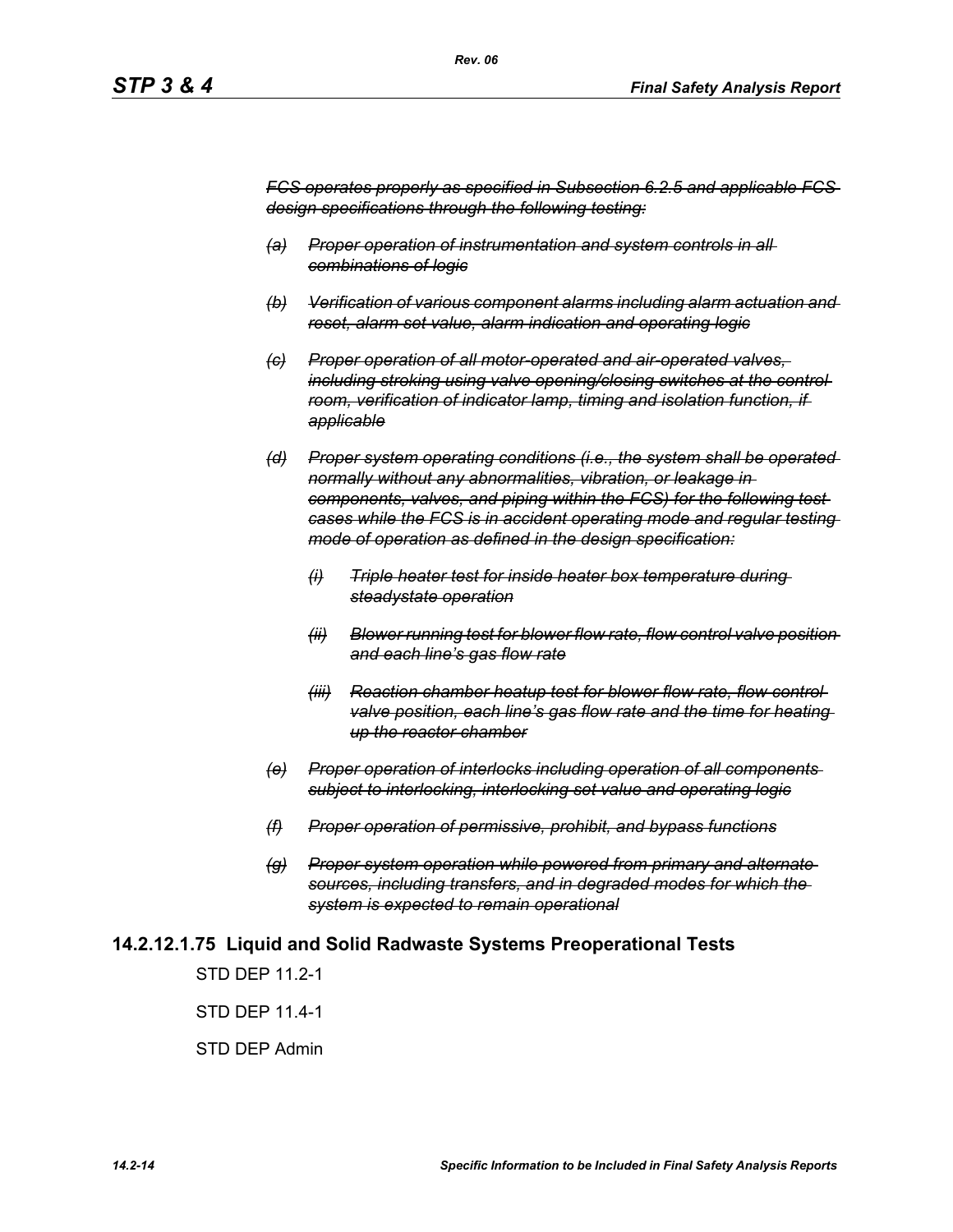*FCS operates properly as specified in Subsection 6.2.5 and applicable FCS design specifications through the following testing:*

- *(a) Proper operation of instrumentation and system controls in all combinations of logic*
- *(b) Verification of various component alarms including alarm actuation and reset, alarm set value, alarm indication and operating logic*
- *(c) Proper operation of all motor-operated and air-operated valves, including stroking using valve opening/closing switches at the control room, verification of indicator lamp, timing and isolation function, if applicable*
- *(d) Proper system operating conditions (i.e., the system shall be operated normally without any abnormalities, vibration, or leakage in components, valves, and piping within the FCS) for the following test cases while the FCS is in accident operating mode and regular testing mode of operation as defined in the design specification:*
	- *(i) Triple heater test for inside heater box temperature during steadystate operation*
	- *(ii) Blower running test for blower flow rate, flow control valve position and each line's gas flow rate*
	- *(iii) Reaction chamber heatup test for blower flow rate, flow control valve position, each line's gas flow rate and the time for heating up the reactor chamber*
- *(e) Proper operation of interlocks including operation of all components subject to interlocking, interlocking set value and operating logic*
- *(f) Proper operation of permissive, prohibit, and bypass functions*
- *(g) Proper system operation while powered from primary and alternate sources, including transfers, and in degraded modes for which the system is expected to remain operational*

#### **14.2.12.1.75 Liquid and Solid Radwaste Systems Preoperational Tests**

STD DFP 11 2-1

STD DEP 11.4-1

STD DEP Admin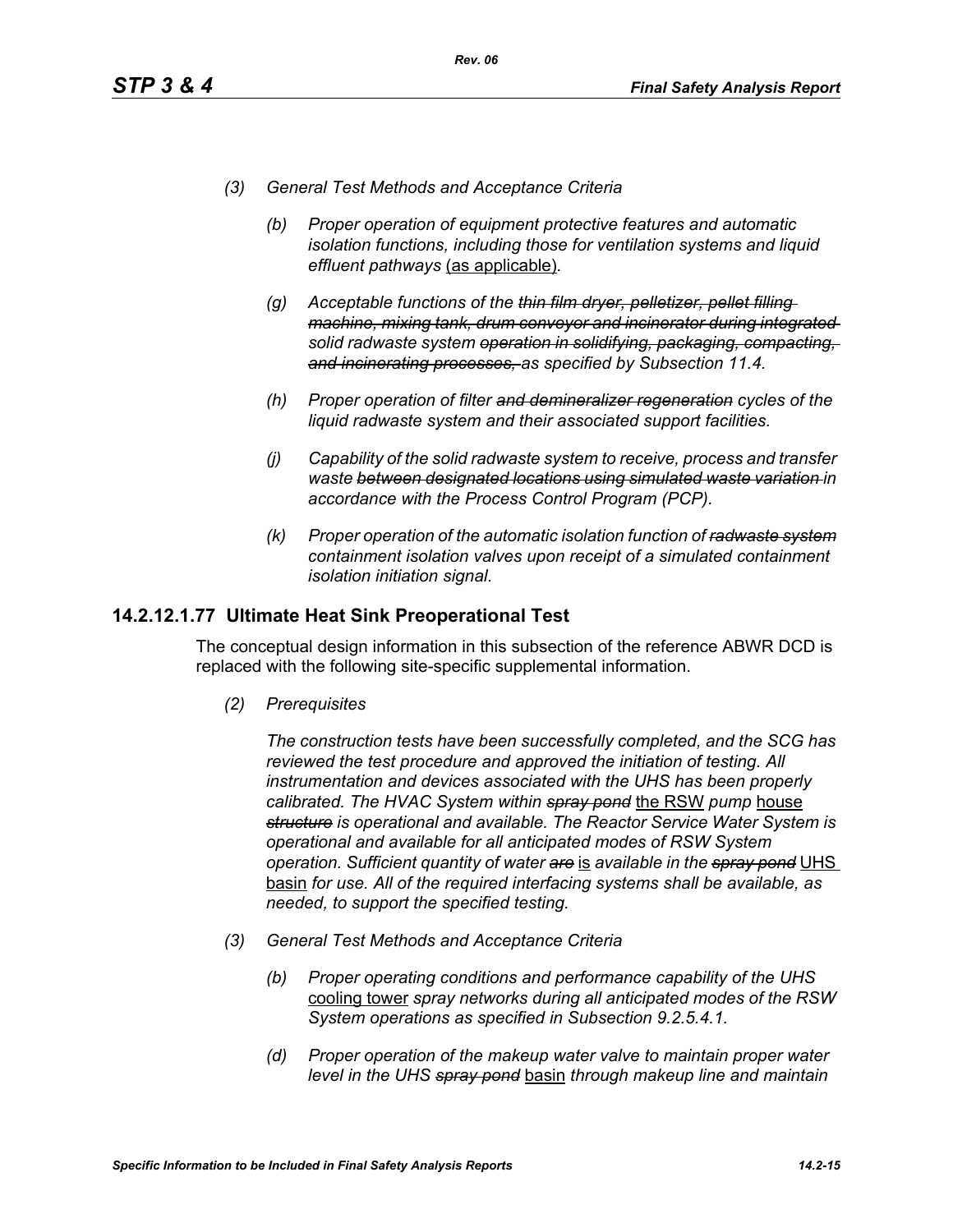- *(3) General Test Methods and Acceptance Criteria*
	- *(b) Proper operation of equipment protective features and automatic isolation functions, including those for ventilation systems and liquid effluent pathways* (as applicable)*.*
	- *(g) Acceptable functions of the thin film dryer, pelletizer, pellet filling machine, mixing tank, drum conveyor and incinerator during integrated solid radwaste system operation in solidifying, packaging, compacting, and incinerating processes, as specified by Subsection 11.4.*
	- *(h) Proper operation of filter and demineralizer regeneration cycles of the liquid radwaste system and their associated support facilities.*
	- *(j) Capability of the solid radwaste system to receive, process and transfer waste between designated locations using simulated waste variation in accordance with the Process Control Program (PCP).*
	- *(k) Proper operation of the automatic isolation function of radwaste system containment isolation valves upon receipt of a simulated containment isolation initiation signal.*

### **14.2.12.1.77 Ultimate Heat Sink Preoperational Test**

The conceptual design information in this subsection of the reference ABWR DCD is replaced with the following site-specific supplemental information.

*(2) Prerequisites*

*The construction tests have been successfully completed, and the SCG has reviewed the test procedure and approved the initiation of testing. All instrumentation and devices associated with the UHS has been properly calibrated. The HVAC System within spray pond* the RSW *pump* house *structure is operational and available. The Reactor Service Water System is operational and available for all anticipated modes of RSW System operation. Sufficient quantity of water are* is *available in the spray pond* UHS basin *for use. All of the required interfacing systems shall be available, as needed, to support the specified testing.*

- *(3) General Test Methods and Acceptance Criteria*
	- *(b) Proper operating conditions and performance capability of the UHS*  cooling tower *spray networks during all anticipated modes of the RSW System operations as specified in Subsection 9.2.5.4.1.*
	- *(d) Proper operation of the makeup water valve to maintain proper water level in the UHS spray pond* basin *through makeup line and maintain*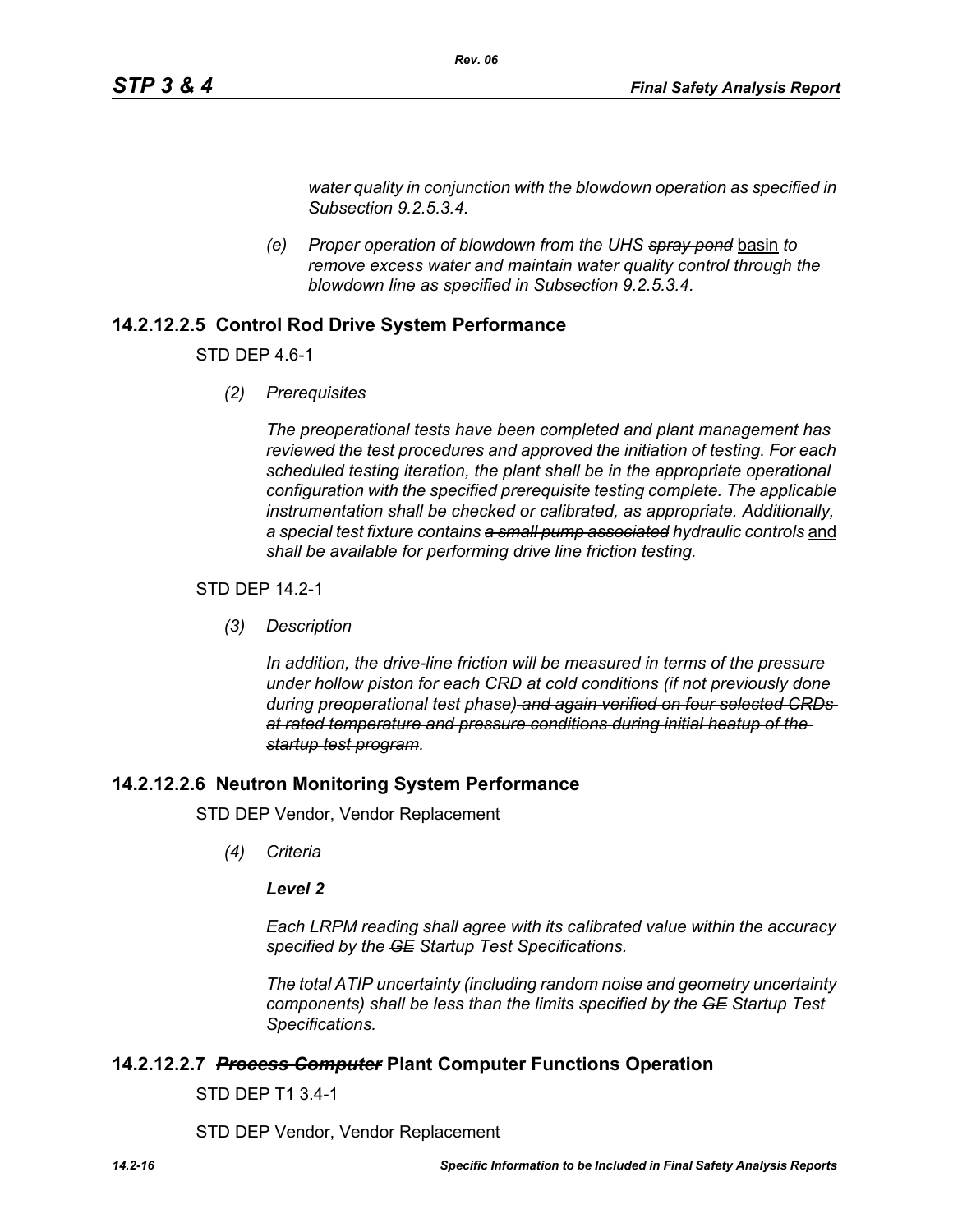*water quality in conjunction with the blowdown operation as specified in Subsection 9.2.5.3.4.*

*(e) Proper operation of blowdown from the UHS spray pond* basin *to remove excess water and maintain water quality control through the blowdown line as specified in Subsection 9.2.5.3.4.* 

*Rev. 06*

# **14.2.12.2.5 Control Rod Drive System Performance**

STD DEP 4.6-1

*(2) Prerequisites*

*The preoperational tests have been completed and plant management has reviewed the test procedures and approved the initiation of testing. For each scheduled testing iteration, the plant shall be in the appropriate operational configuration with the specified prerequisite testing complete. The applicable instrumentation shall be checked or calibrated, as appropriate. Additionally,*  a special test fixture contains a small pump associated hydraulic controls and *shall be available for performing drive line friction testing.*

#### STD DEP 14.2-1

*(3) Description*

*In addition, the drive-line friction will be measured in terms of the pressure under hollow piston for each CRD at cold conditions (if not previously done during preoperational test phase) and again verified on four selected CRDs at rated temperature and pressure conditions during initial heatup of the startup test program.*

#### **14.2.12.2.6 Neutron Monitoring System Performance**

STD DEP Vendor, Vendor Replacement

*(4) Criteria*

#### *Level 2*

*Each LRPM reading shall agree with its calibrated value within the accuracy specified by the GE Startup Test Specifications.*

*The total ATIP uncertainty (including random noise and geometry uncertainty components) shall be less than the limits specified by the GE Startup Test Specifications.*

#### **14.2.12.2.7** *Process Computer* **Plant Computer Functions Operation**

STD DEP T1 3.4-1

STD DEP Vendor, Vendor Replacement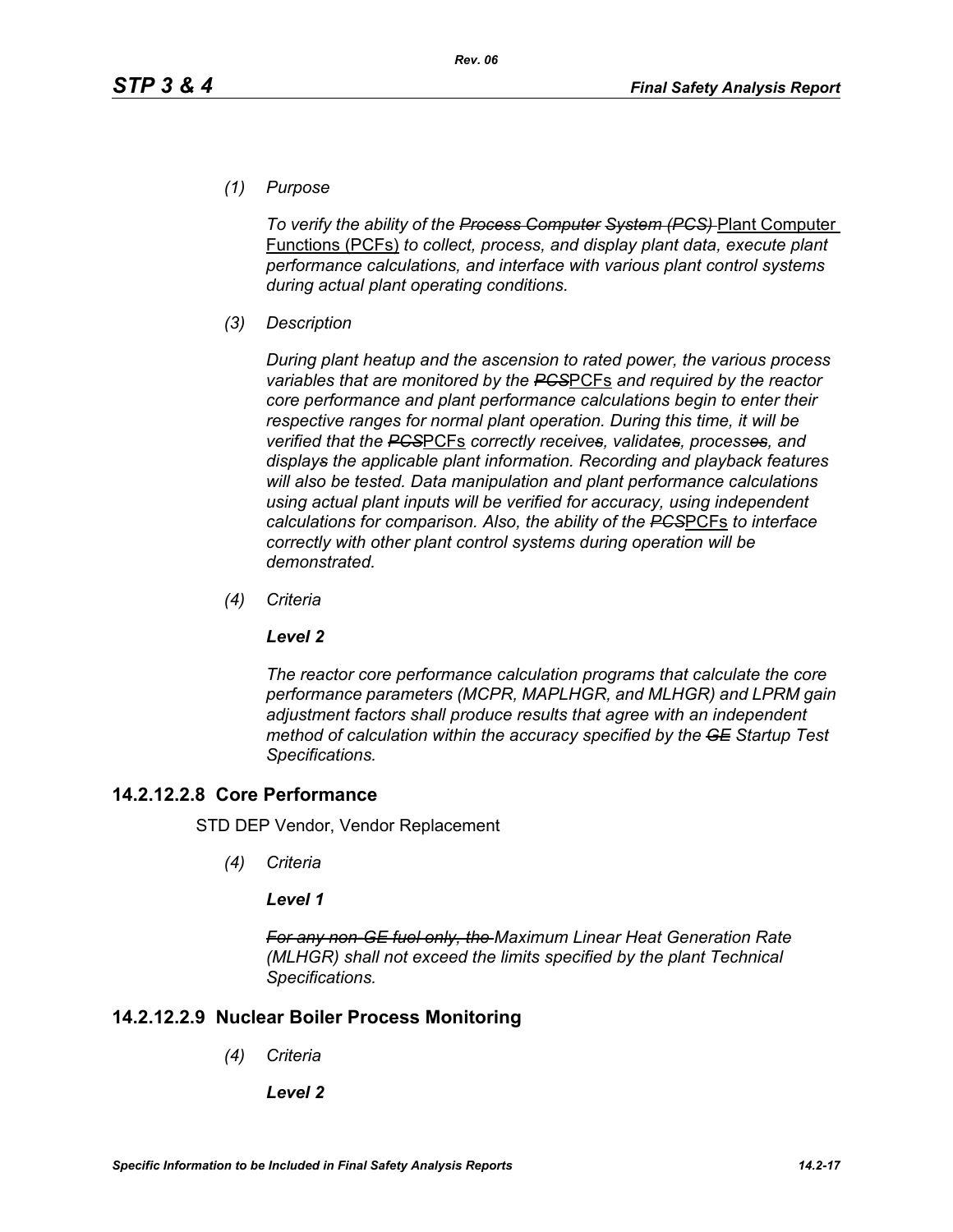*(1) Purpose*

*To verify the ability of the Process Computer System (PCS)* Plant Computer Functions (PCFs) *to collect, process, and display plant data, execute plant performance calculations, and interface with various plant control systems during actual plant operating conditions.*

*(3) Description*

*During plant heatup and the ascension to rated power, the various process variables that are monitored by the PCS*PCFs *and required by the reactor core performance and plant performance calculations begin to enter their respective ranges for normal plant operation. During this time, it will be verified that the PCS*PCFs *correctly receives, validates, processes, and displays the applicable plant information. Recording and playback features will also be tested. Data manipulation and plant performance calculations using actual plant inputs will be verified for accuracy, using independent calculations for comparison. Also, the ability of the PCS*PCFs *to interface correctly with other plant control systems during operation will be demonstrated.*

*(4) Criteria*

#### *Level 2*

*The reactor core performance calculation programs that calculate the core performance parameters (MCPR, MAPLHGR, and MLHGR) and LPRM gain adjustment factors shall produce results that agree with an independent method of calculation within the accuracy specified by the GE Startup Test Specifications.*

# **14.2.12.2.8 Core Performance**

STD DEP Vendor, Vendor Replacement

*(4) Criteria*

#### *Level 1*

*For any non-GE fuel only, the Maximum Linear Heat Generation Rate (MLHGR) shall not exceed the limits specified by the plant Technical Specifications.*

# **14.2.12.2.9 Nuclear Boiler Process Monitoring**

- *(4) Criteria*
	- *Level 2*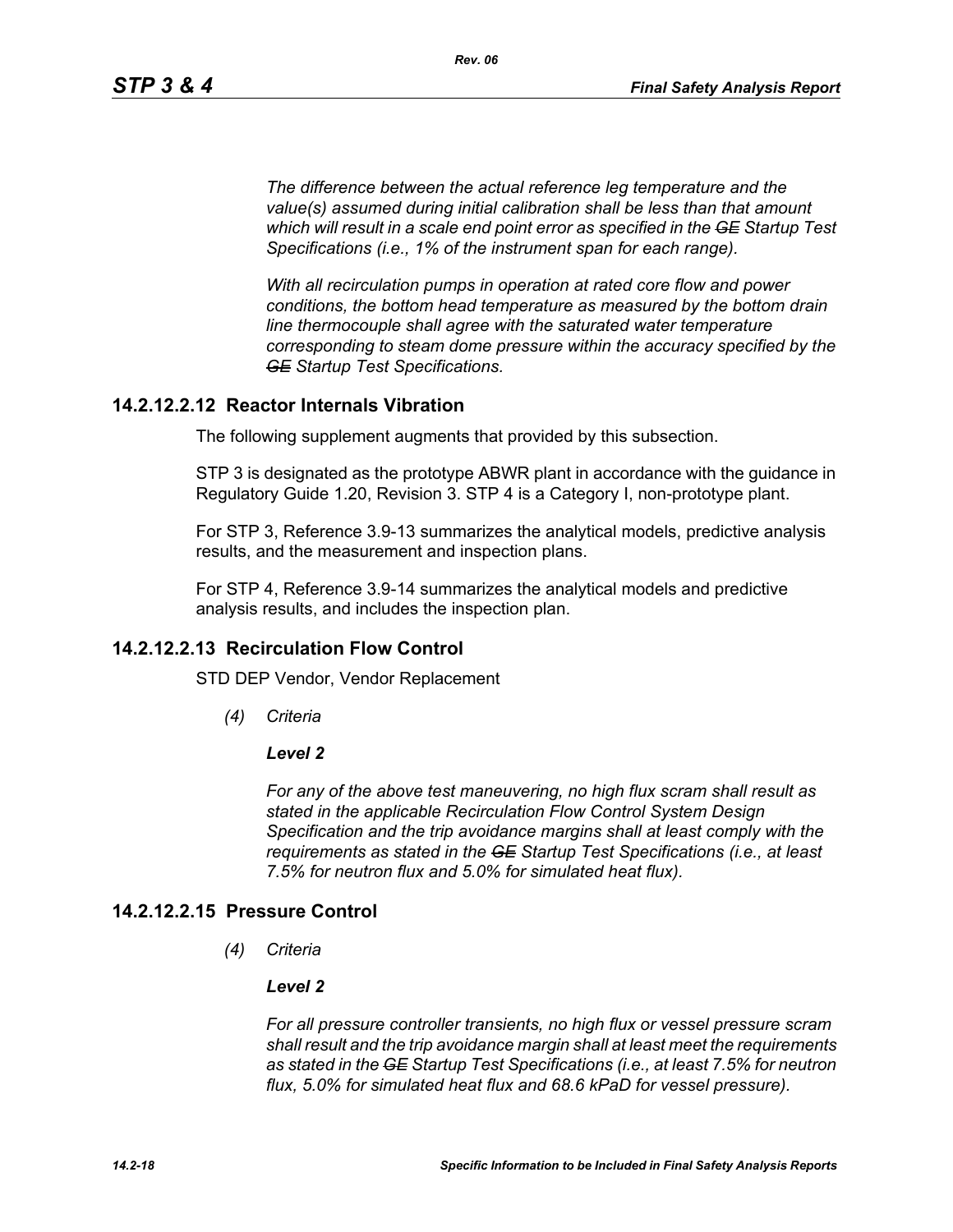*The difference between the actual reference leg temperature and the value(s) assumed during initial calibration shall be less than that amount which will result in a scale end point error as specified in the GE Startup Test Specifications (i.e., 1% of the instrument span for each range).* 

*With all recirculation pumps in operation at rated core flow and power conditions, the bottom head temperature as measured by the bottom drain line thermocouple shall agree with the saturated water temperature corresponding to steam dome pressure within the accuracy specified by the GE Startup Test Specifications.*

# **14.2.12.2.12 Reactor Internals Vibration**

The following supplement augments that provided by this subsection.

STP 3 is designated as the prototype ABWR plant in accordance with the guidance in Regulatory Guide 1.20, Revision 3. STP 4 is a Category I, non-prototype plant.

For STP 3, Reference 3.9-13 summarizes the analytical models, predictive analysis results, and the measurement and inspection plans.

For STP 4, Reference 3.9-14 summarizes the analytical models and predictive analysis results, and includes the inspection plan.

# **14.2.12.2.13 Recirculation Flow Control**

STD DEP Vendor, Vendor Replacement

*(4) Criteria*

#### *Level 2*

*For any of the above test maneuvering, no high flux scram shall result as stated in the applicable Recirculation Flow Control System Design Specification and the trip avoidance margins shall at least comply with the requirements as stated in the GE Startup Test Specifications (i.e., at least 7.5% for neutron flux and 5.0% for simulated heat flux).*

#### **14.2.12.2.15 Pressure Control**

*(4) Criteria*

#### *Level 2*

*For all pressure controller transients, no high flux or vessel pressure scram shall result and the trip avoidance margin shall at least meet the requirements as stated in the GE Startup Test Specifications (i.e., at least 7.5% for neutron flux, 5.0% for simulated heat flux and 68.6 kPaD for vessel pressure).*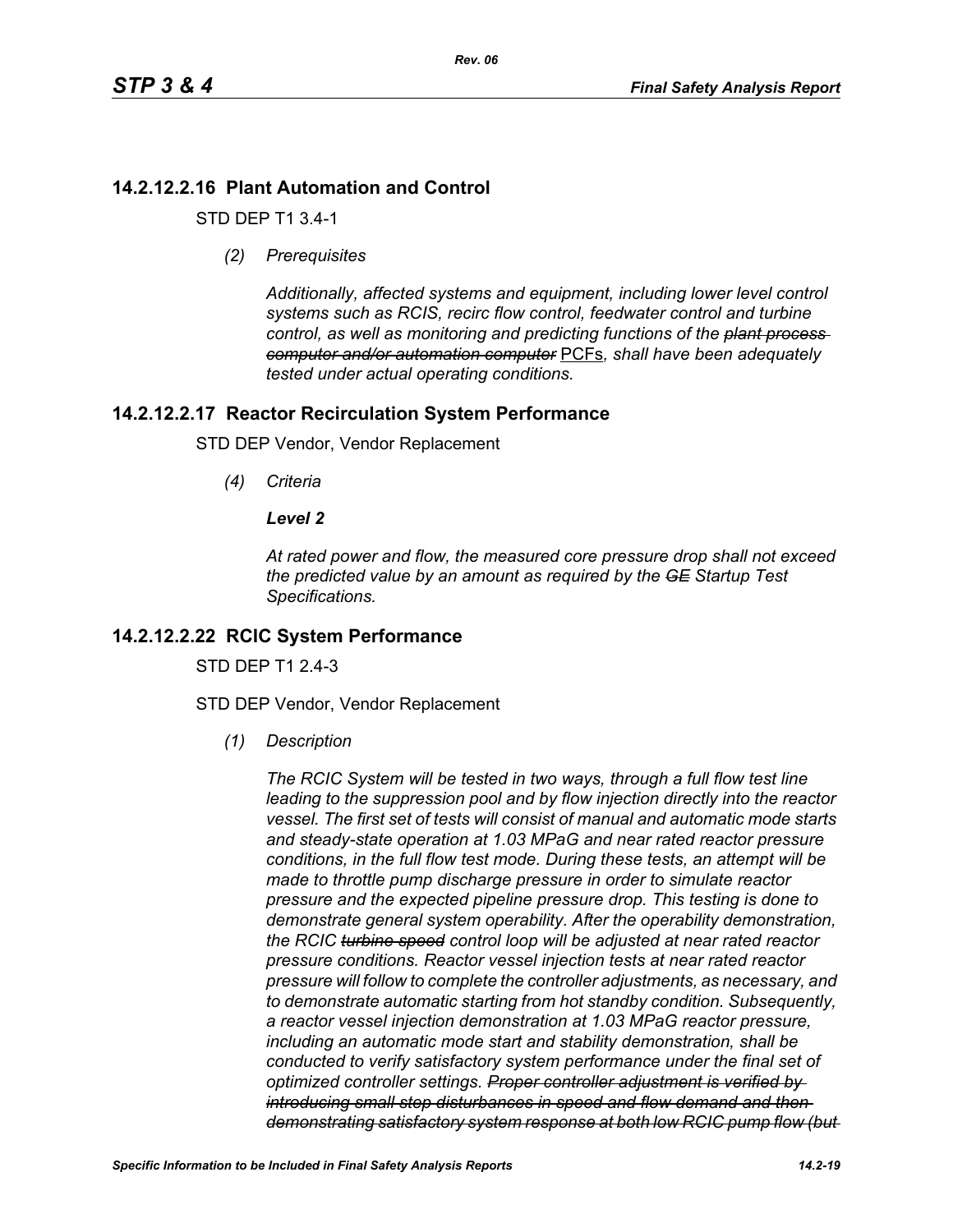# **14.2.12.2.16 Plant Automation and Control**

STD DEP T1 3.4-1

*(2) Prerequisites*

*Additionally, affected systems and equipment, including lower level control systems such as RCIS, recirc flow control, feedwater control and turbine control, as well as monitoring and predicting functions of the plant process computer and/or automation computer* PCFs*, shall have been adequately tested under actual operating conditions.*

# **14.2.12.2.17 Reactor Recirculation System Performance**

STD DEP Vendor, Vendor Replacement

*(4) Criteria*

#### *Level 2*

*At rated power and flow, the measured core pressure drop shall not exceed the predicted value by an amount as required by the GE Startup Test Specifications.*

# **14.2.12.2.22 RCIC System Performance**

STD DFP T1 2 4-3

STD DEP Vendor, Vendor Replacement

*(1) Description*

*The RCIC System will be tested in two ways, through a full flow test line leading to the suppression pool and by flow injection directly into the reactor vessel. The first set of tests will consist of manual and automatic mode starts and steady-state operation at 1.03 MPaG and near rated reactor pressure conditions, in the full flow test mode. During these tests, an attempt will be made to throttle pump discharge pressure in order to simulate reactor pressure and the expected pipeline pressure drop. This testing is done to demonstrate general system operability. After the operability demonstration, the RCIC turbine speed control loop will be adjusted at near rated reactor pressure conditions. Reactor vessel injection tests at near rated reactor pressure will follow to complete the controller adjustments, as necessary, and to demonstrate automatic starting from hot standby condition. Subsequently, a reactor vessel injection demonstration at 1.03 MPaG reactor pressure, including an automatic mode start and stability demonstration, shall be conducted to verify satisfactory system performance under the final set of optimized controller settings. Proper controller adjustment is verified by introducing small step disturbances in speed and flow demand and then demonstrating satisfactory system response at both low RCIC pump flow (but*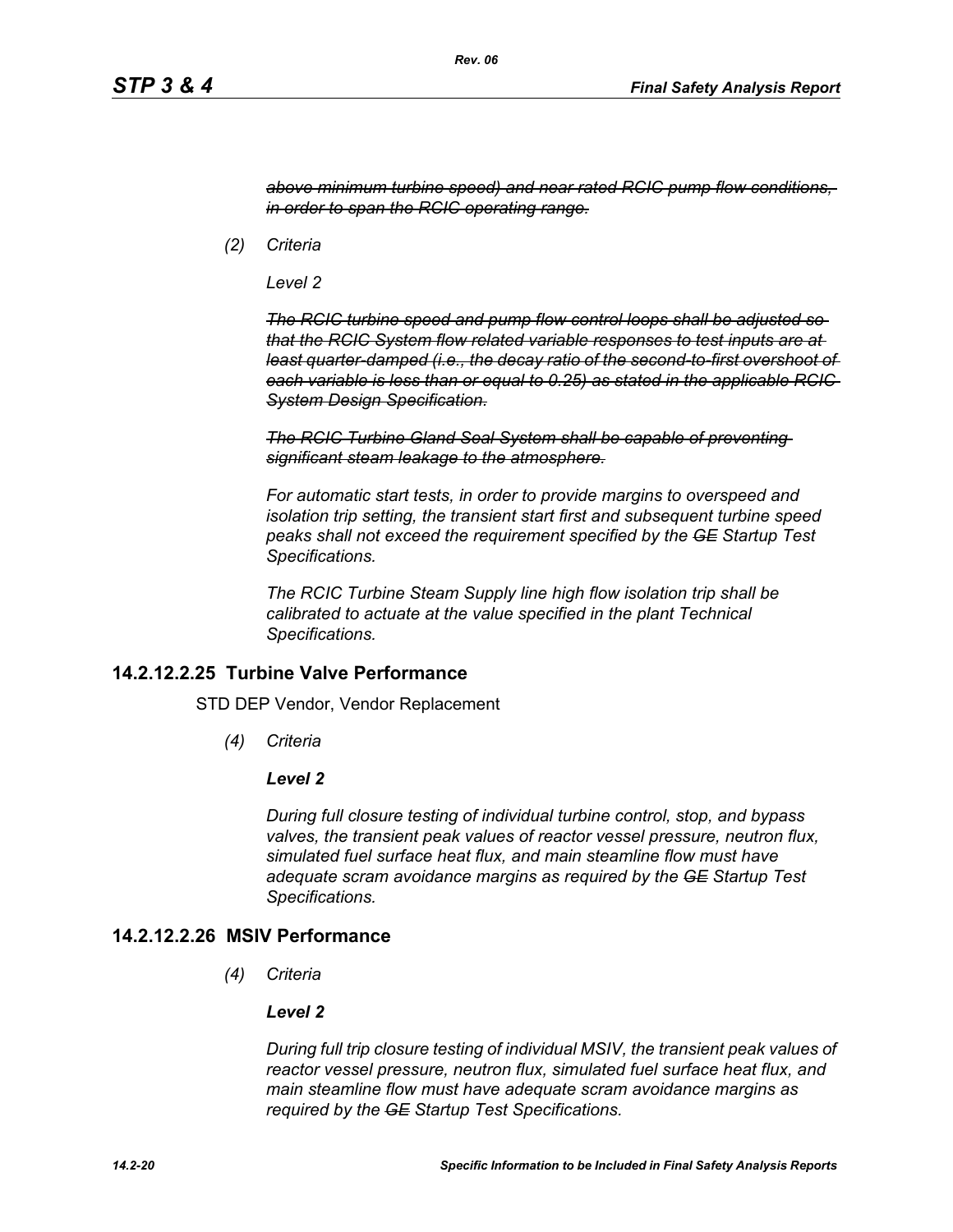*above minimum turbine speed) and near rated RCIC pump flow conditions, in order to span the RCIC operating range.*

*(2) Criteria*

*Level 2*

*The RCIC turbine speed and pump flow control loops shall be adjusted so that the RCIC System flow related variable responses to test inputs are at least quarter-damped (i.e., the decay ratio of the second-to-first overshoot of each variable is less than or equal to 0.25) as stated in the applicable RCIC System Design Specification.*

*The RCIC Turbine Gland Seal System shall be capable of preventing significant steam leakage to the atmosphere.*

*For automatic start tests, in order to provide margins to overspeed and isolation trip setting, the transient start first and subsequent turbine speed peaks shall not exceed the requirement specified by the GE Startup Test Specifications.*

*The RCIC Turbine Steam Supply line high flow isolation trip shall be calibrated to actuate at the value specified in the plant Technical Specifications.*

### **14.2.12.2.25 Turbine Valve Performance**

STD DEP Vendor, Vendor Replacement

*(4) Criteria*

#### *Level 2*

*During full closure testing of individual turbine control, stop, and bypass valves, the transient peak values of reactor vessel pressure, neutron flux, simulated fuel surface heat flux, and main steamline flow must have adequate scram avoidance margins as required by the GE Startup Test Specifications.*

### **14.2.12.2.26 MSIV Performance**

*(4) Criteria*

#### *Level 2*

*During full trip closure testing of individual MSIV, the transient peak values of reactor vessel pressure, neutron flux, simulated fuel surface heat flux, and main steamline flow must have adequate scram avoidance margins as required by the GE Startup Test Specifications.*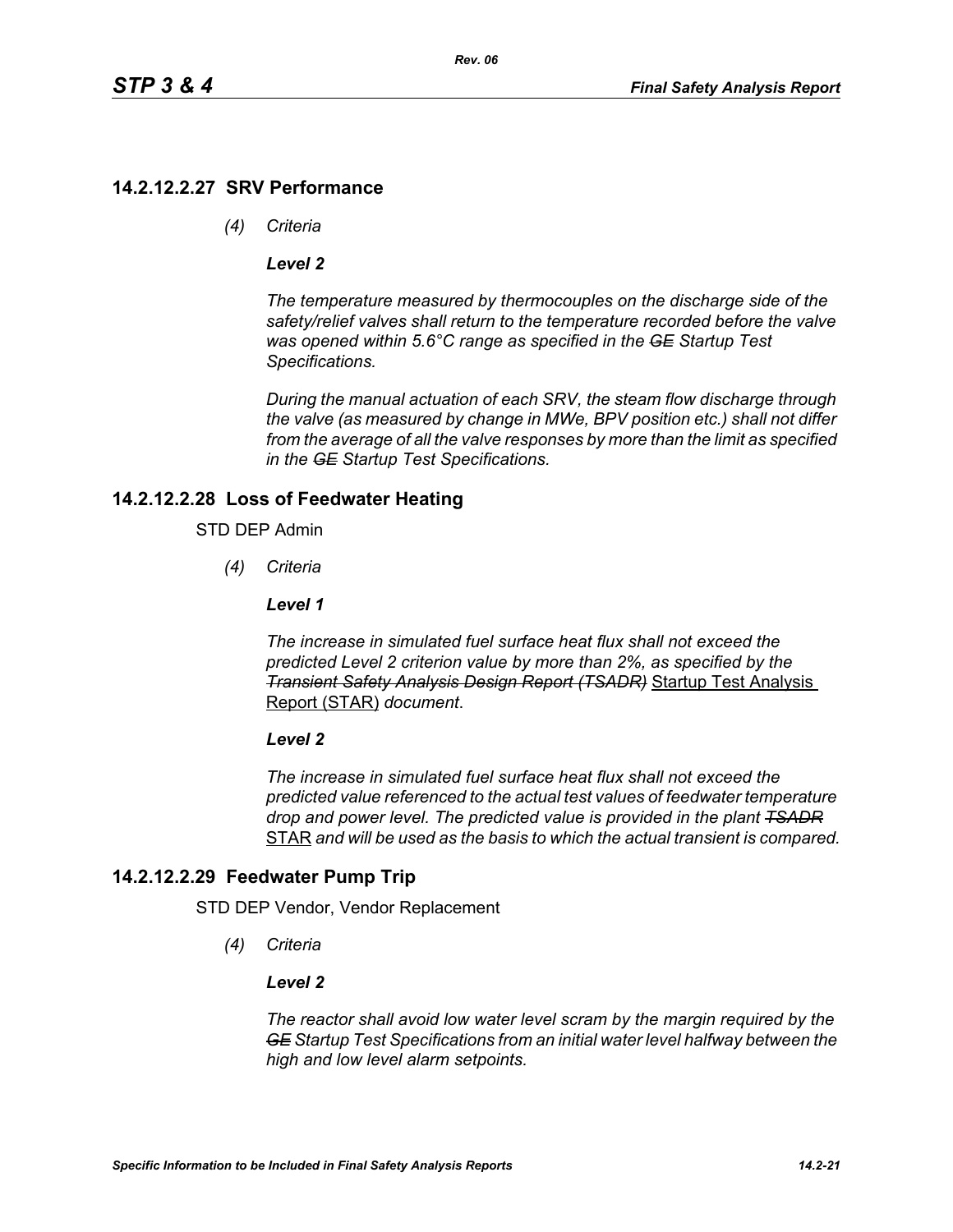# **14.2.12.2.27 SRV Performance**

*(4) Criteria*

#### *Level 2*

*The temperature measured by thermocouples on the discharge side of the safety/relief valves shall return to the temperature recorded before the valve was opened within 5.6°C range as specified in the GE Startup Test Specifications.*

*During the manual actuation of each SRV, the steam flow discharge through the valve (as measured by change in MWe, BPV position etc.) shall not differ from the average of all the valve responses by more than the limit as specified in the GE Startup Test Specifications.*

# **14.2.12.2.28 Loss of Feedwater Heating**

#### STD DEP Admin

*(4) Criteria*

#### *Level 1*

*The increase in simulated fuel surface heat flux shall not exceed the predicted Level 2 criterion value by more than 2%, as specified by the Transient Safety Analysis Design Report (TSADR)* Startup Test Analysis Report (STAR) *document*.

#### *Level 2*

*The increase in simulated fuel surface heat flux shall not exceed the predicted value referenced to the actual test values of feedwater temperature drop and power level. The predicted value is provided in the plant TSADR* STAR *and will be used as the basis to which the actual transient is compared.*

# **14.2.12.2.29 Feedwater Pump Trip**

STD DEP Vendor, Vendor Replacement

*(4) Criteria*

#### *Level 2*

*The reactor shall avoid low water level scram by the margin required by the GE Startup Test Specifications from an initial water level halfway between the high and low level alarm setpoints.*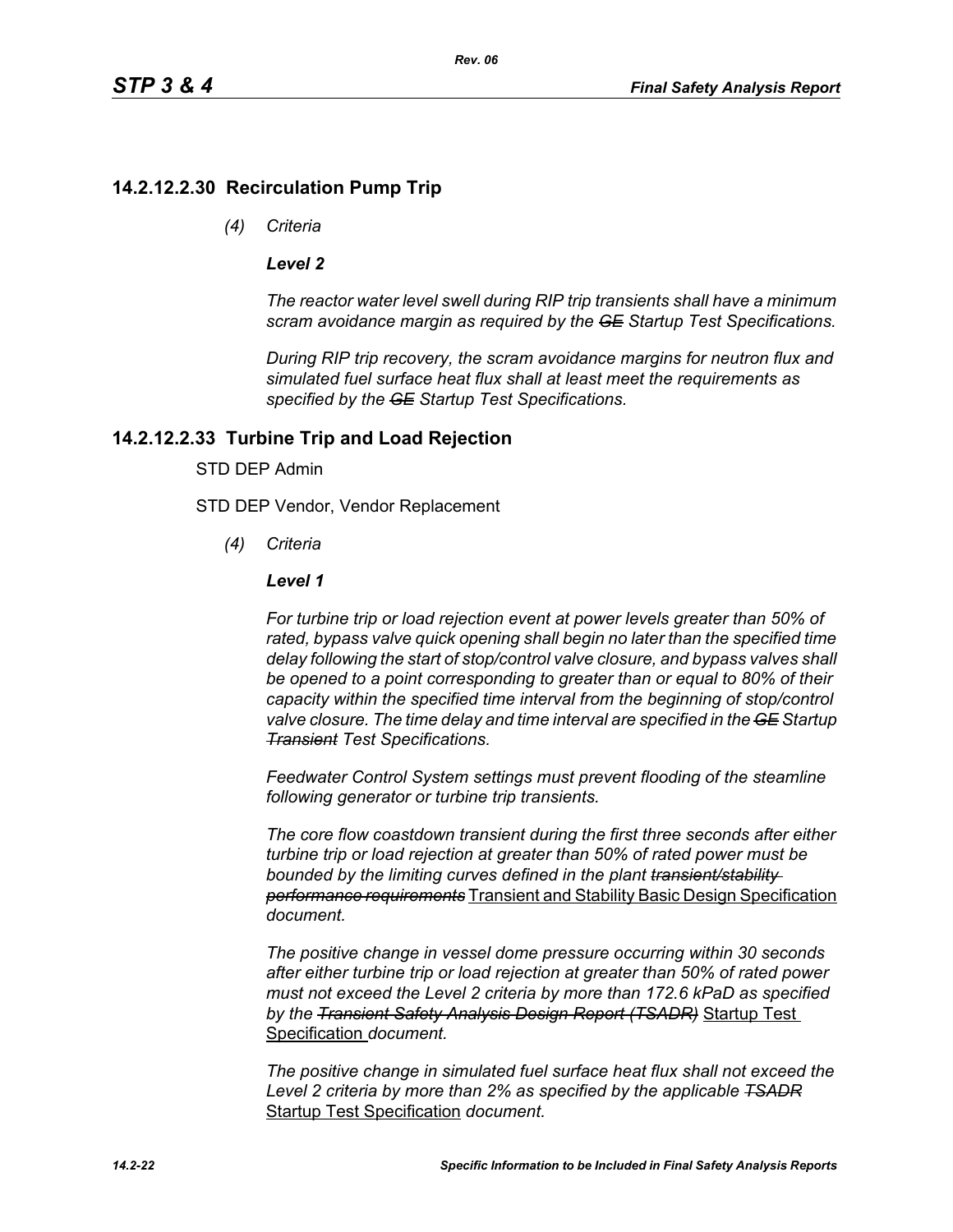# **14.2.12.2.30 Recirculation Pump Trip**

*(4) Criteria*

#### *Level 2*

*The reactor water level swell during RIP trip transients shall have a minimum scram avoidance margin as required by the GE Startup Test Specifications.*

*During RIP trip recovery, the scram avoidance margins for neutron flux and simulated fuel surface heat flux shall at least meet the requirements as specified by the GE Startup Test Specifications.*

### **14.2.12.2.33 Turbine Trip and Load Rejection**

#### STD DEP Admin

STD DEP Vendor, Vendor Replacement

*(4) Criteria*

#### *Level 1*

*For turbine trip or load rejection event at power levels greater than 50% of rated, bypass valve quick opening shall begin no later than the specified time delay following the start of stop/control valve closure, and bypass valves shall be opened to a point corresponding to greater than or equal to 80% of their capacity within the specified time interval from the beginning of stop/control valve closure. The time delay and time interval are specified in the GE Startup Transient Test Specifications.*

*Feedwater Control System settings must prevent flooding of the steamline following generator or turbine trip transients.*

*The core flow coastdown transient during the first three seconds after either turbine trip or load rejection at greater than 50% of rated power must be bounded by the limiting curves defined in the plant transient/stability performance requirements* Transient and Stability Basic Design Specification *document.*

*The positive change in vessel dome pressure occurring within 30 seconds after either turbine trip or load rejection at greater than 50% of rated power must not exceed the Level 2 criteria by more than 172.6 kPaD as specified by the Transient Safety Analysis Design Report (TSADR)* Startup Test Specification *document.*

*The positive change in simulated fuel surface heat flux shall not exceed the Level 2 criteria by more than 2% as specified by the applicable TSADR* Startup Test Specification *document.*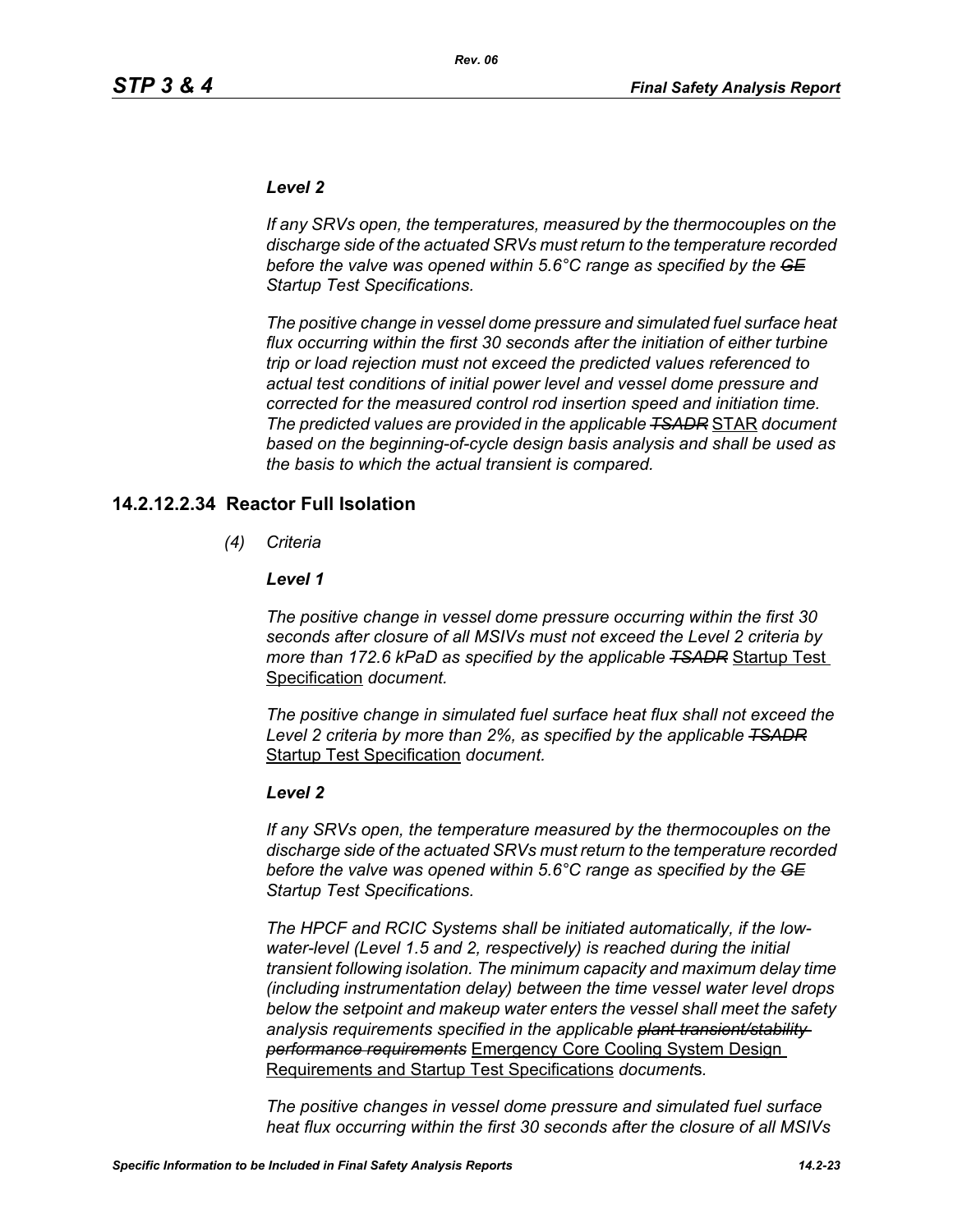#### *Level 2*

*If any SRVs open, the temperatures, measured by the thermocouples on the discharge side of the actuated SRVs must return to the temperature recorded before the valve was opened within 5.6°C range as specified by the GE Startup Test Specifications.*

*The positive change in vessel dome pressure and simulated fuel surface heat flux occurring within the first 30 seconds after the initiation of either turbine trip or load rejection must not exceed the predicted values referenced to actual test conditions of initial power level and vessel dome pressure and corrected for the measured control rod insertion speed and initiation time. The predicted values are provided in the applicable TSADR* STAR *document based on the beginning-of-cycle design basis analysis and shall be used as the basis to which the actual transient is compared.*

### **14.2.12.2.34 Reactor Full Isolation**

*(4) Criteria*

#### *Level 1*

*The positive change in vessel dome pressure occurring within the first 30 seconds after closure of all MSIVs must not exceed the Level 2 criteria by more than 172.6 kPaD as specified by the applicable TSADR* Startup Test Specification *document.*

*The positive change in simulated fuel surface heat flux shall not exceed the Level 2 criteria by more than 2%, as specified by the applicable TSADR* Startup Test Specification *document.*

#### *Level 2*

*If any SRVs open, the temperature measured by the thermocouples on the discharge side of the actuated SRVs must return to the temperature recorded before the valve was opened within 5.6°C range as specified by the GE Startup Test Specifications.*

*The HPCF and RCIC Systems shall be initiated automatically, if the lowwater-level (Level 1.5 and 2, respectively) is reached during the initial transient following isolation. The minimum capacity and maximum delay time (including instrumentation delay) between the time vessel water level drops below the setpoint and makeup water enters the vessel shall meet the safety analysis requirements specified in the applicable plant transient/stability performance requirements* Emergency Core Cooling System Design Requirements and Startup Test Specifications *document*s*.*

*The positive changes in vessel dome pressure and simulated fuel surface heat flux occurring within the first 30 seconds after the closure of all MSIVs*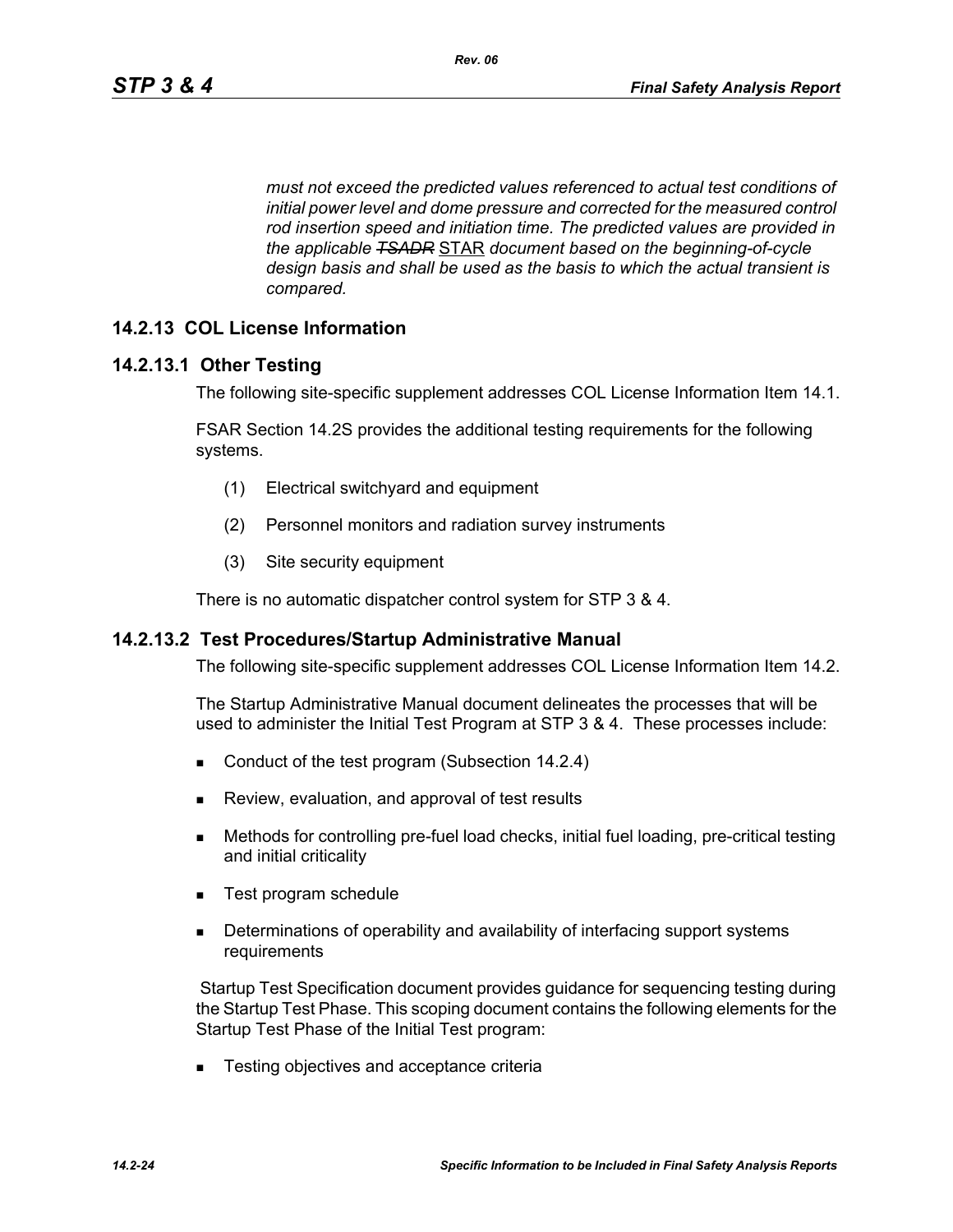*must not exceed the predicted values referenced to actual test conditions of initial power level and dome pressure and corrected for the measured control rod insertion speed and initiation time. The predicted values are provided in the applicable TSADR* STAR *document based on the beginning-of-cycle design basis and shall be used as the basis to which the actual transient is compared.*

### **14.2.13 COL License Information**

#### **14.2.13.1 Other Testing**

The following site-specific supplement addresses COL License Information Item 14.1.

FSAR Section 14.2S provides the additional testing requirements for the following systems.

- (1) Electrical switchyard and equipment
- (2) Personnel monitors and radiation survey instruments
- (3) Site security equipment

There is no automatic dispatcher control system for STP 3 & 4.

#### **14.2.13.2 Test Procedures/Startup Administrative Manual**

The following site-specific supplement addresses COL License Information Item 14.2.

The Startup Administrative Manual document delineates the processes that will be used to administer the Initial Test Program at STP 3 & 4. These processes include:

- Conduct of the test program (Subsection 14.2.4)
- **Review, evaluation, and approval of test results**
- Methods for controlling pre-fuel load checks, initial fuel loading, pre-critical testing and initial criticality
- Test program schedule
- **Determinations of operability and availability of interfacing support systems** requirements

 Startup Test Specification document provides guidance for sequencing testing during the Startup Test Phase. This scoping document contains the following elements for the Startup Test Phase of the Initial Test program:

■ Testing objectives and acceptance criteria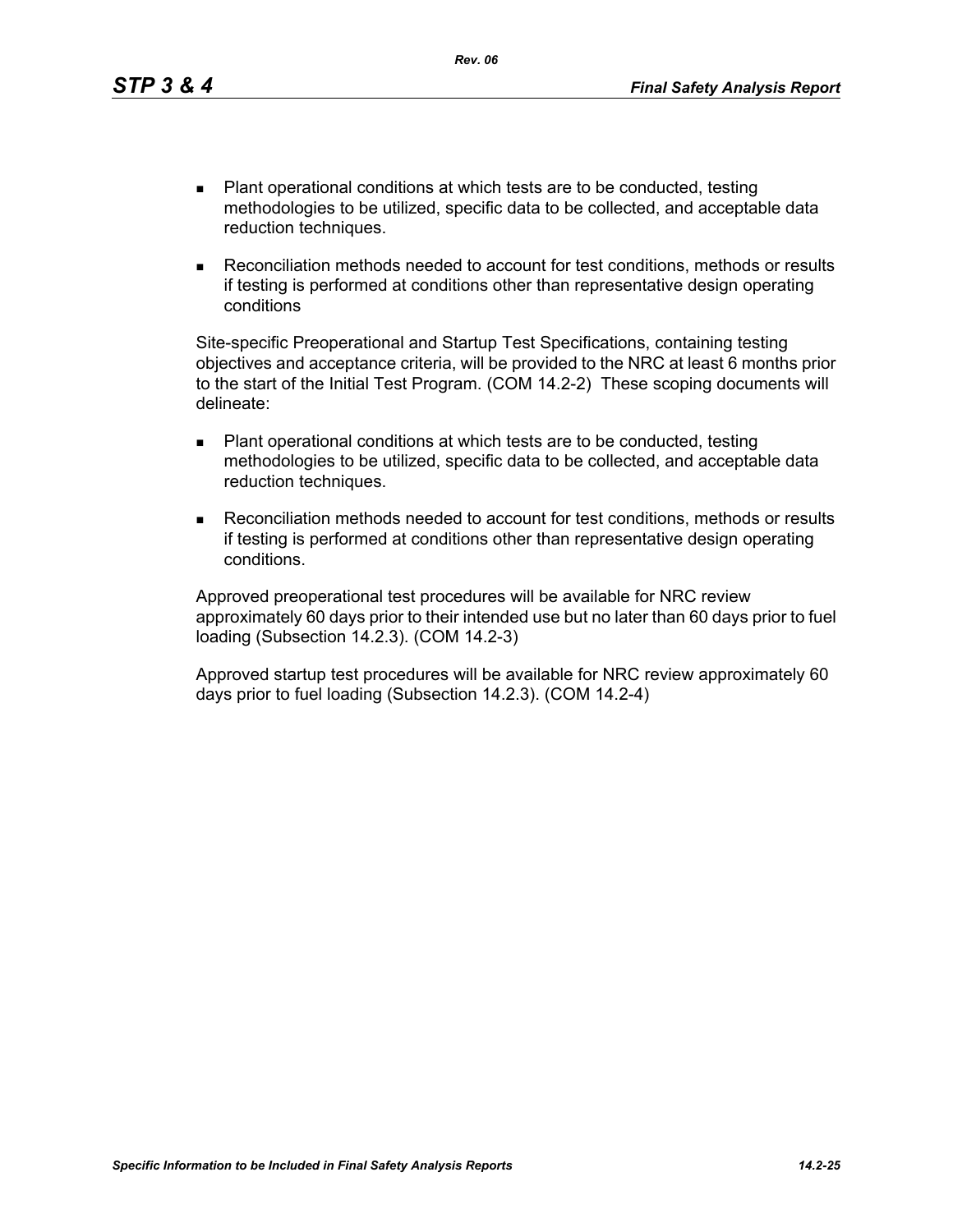- Plant operational conditions at which tests are to be conducted, testing methodologies to be utilized, specific data to be collected, and acceptable data reduction techniques.
- Reconciliation methods needed to account for test conditions, methods or results if testing is performed at conditions other than representative design operating conditions

Site-specific Preoperational and Startup Test Specifications, containing testing objectives and acceptance criteria, will be provided to the NRC at least 6 months prior to the start of the Initial Test Program. (COM 14.2-2) These scoping documents will delineate:

- Plant operational conditions at which tests are to be conducted, testing methodologies to be utilized, specific data to be collected, and acceptable data reduction techniques.
- Reconciliation methods needed to account for test conditions, methods or results if testing is performed at conditions other than representative design operating conditions.

Approved preoperational test procedures will be available for NRC review approximately 60 days prior to their intended use but no later than 60 days prior to fuel loading (Subsection 14.2.3). (COM 14.2-3)

Approved startup test procedures will be available for NRC review approximately 60 days prior to fuel loading (Subsection 14.2.3). (COM 14.2-4)